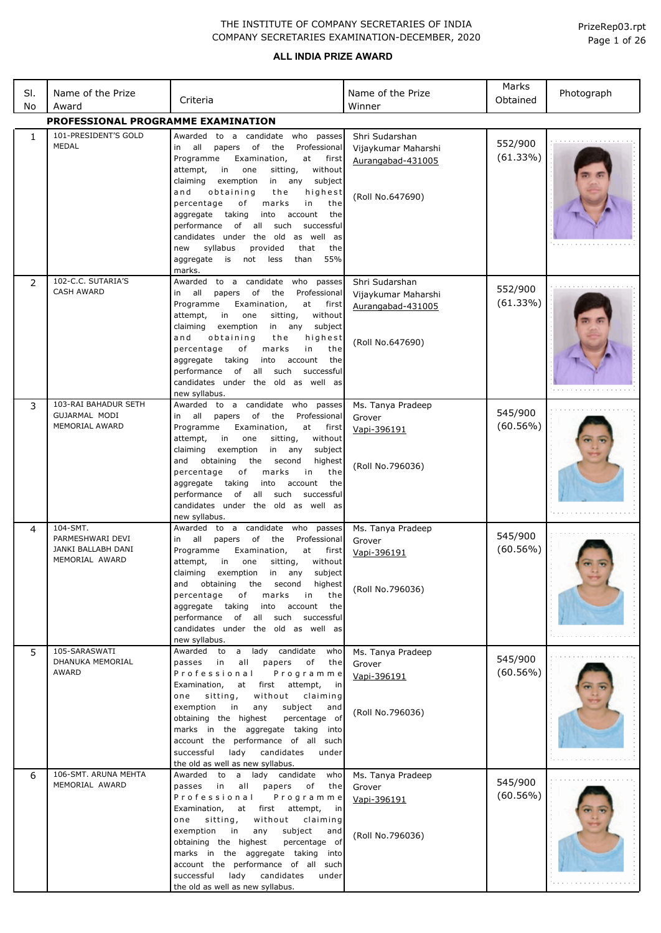| SI.<br>No    | Name of the Prize<br>Award                                           | Criteria                                                                                                                                                                                                                                                                                   | Name of the Prize<br>Winner                                | Marks<br>Obtained      | Photograph |
|--------------|----------------------------------------------------------------------|--------------------------------------------------------------------------------------------------------------------------------------------------------------------------------------------------------------------------------------------------------------------------------------------|------------------------------------------------------------|------------------------|------------|
|              | PROFESSIONAL PROGRAMME EXAMINATION                                   |                                                                                                                                                                                                                                                                                            |                                                            |                        |            |
| $\mathbf{1}$ | 101-PRESIDENT'S GOLD<br>MEDAL                                        | Awarded to a candidate who passes<br>Professional<br>all<br>of<br>the<br>papers<br>in                                                                                                                                                                                                      | Shri Sudarshan<br>Vijaykumar Maharshi                      | 552/900                |            |
|              |                                                                      | Programme<br>Examination,<br>at<br>first<br>without<br>attempt,<br>in<br>one<br>sitting,<br>exemption<br>any<br>claiming<br>in<br>subject<br>and<br>obtaining<br>the<br>highest                                                                                                            | Aurangabad-431005                                          | (61.33%)               |            |
|              |                                                                      | percentage<br>of<br>marks<br>in<br>the<br>aggregate<br>taking<br>into<br>account<br>the<br>of all such<br>successful<br>performance<br>candidates under the old as well as                                                                                                                 | (Roll No.647690)                                           |                        |            |
|              |                                                                      | syllabus<br>that<br>new<br>provided<br>the<br>55%<br>aggregate<br>is<br>not<br>than<br>less<br>marks.                                                                                                                                                                                      |                                                            |                        |            |
| 2            | 102-C.C. SUTARIA'S<br><b>CASH AWARD</b>                              | to a candidate who<br>Awarded<br>passes<br>all<br>of<br>the<br>Professional<br>papers<br>in<br>Programme<br>Examination,<br>first<br>at<br>in<br>attempt,<br>one<br>sitting,<br>without                                                                                                    | Shri Sudarshan<br>Vijaykumar Maharshi<br>Aurangabad-431005 | 552/900<br>(61.33%)    |            |
|              |                                                                      | claiming<br>exemption<br>in any<br>subject<br>and<br>obtaining<br>the<br>highest<br>percentage<br>of<br>marks<br>in<br>the<br>aggregate<br>taking<br>into<br>account<br>the<br>performance<br>of<br>all such<br>successful<br>candidates under the old as well as<br>new syllabus.         | (Roll No.647690)                                           |                        |            |
| 3            | 103-RAI BAHADUR SETH<br>GUJARMAL MODI                                | to a candidate who passes<br>Awarded                                                                                                                                                                                                                                                       | Ms. Tanya Pradeep                                          | 545/900                |            |
|              | MEMORIAL AWARD                                                       | all<br>papers of<br>the<br>Professional<br>in<br>Programme<br>Examination,<br>at<br>first<br>without<br>attempt,<br>in<br>one<br>sitting,<br>claiming<br>exemption<br>in<br>any<br>subject<br>and<br>obtaining<br>the<br>second<br>highest                                                 | Grover<br>Vapi-396191                                      | $(60.56\%)$            |            |
|              |                                                                      | percentage<br>оf<br>the<br>marks<br>in<br>taking<br>aggregate<br>into<br>account<br>the<br>such<br>performance<br>of<br>all<br>successful<br>candidates under the old as well as<br>new syllabus.                                                                                          | (Roll No.796036)                                           |                        |            |
| 4            | 104-SMT.<br>PARMESHWARI DEVI<br>JANKI BALLABH DANI<br>MEMORIAL AWARD | Awarded to a candidate who passes<br>all<br>of<br>the<br>papers<br>Professional<br>in<br>Programme<br>Examination,<br>first<br>at<br>attempt,<br>sitting,<br>without<br>in<br>one<br>claiming<br>exemption<br>any<br>subject<br>in<br>and obtaining<br>the second<br>highest               | Ms. Tanya Pradeep<br>Grover<br>Vapi-396191                 | 545/900<br>$(60.56\%)$ |            |
|              |                                                                      | percentage<br>marks<br>the<br>of<br>in<br>aggregate taking<br>into<br>account<br>the<br>performance of all such successful<br>candidates under the old as well as<br>new syllabus.                                                                                                         | (Roll No.796036)                                           |                        |            |
| 5            | 105-SARASWATI<br>DHANUKA MEMORIAL<br>AWARD                           | Awarded to a lady candidate<br>who<br>passes in<br>all<br>papers<br>of<br>the<br>Professional<br>Programme                                                                                                                                                                                 | Ms. Tanya Pradeep<br>Grover                                | 545/900<br>$(60.56\%)$ |            |
|              |                                                                      | Examination,<br>at first attempt,<br>in<br>without<br>one<br>sitting,<br>claiming                                                                                                                                                                                                          | Vapi-396191                                                |                        |            |
|              |                                                                      | exemption<br>in<br>any<br>subject<br>and<br>obtaining the highest<br>percentage of<br>marks in the aggregate taking into<br>account the performance of all such<br>lady candidates<br>under<br>successful<br>the old as well as new syllabus.                                              | (Roll No.796036)                                           |                        |            |
| 6            | 106-SMT. ARUNA MEHTA<br>MEMORIAL AWARD                               | Awarded to a lady candidate<br>who<br>passes in<br>all<br>papers<br>of<br>the<br>Programme<br>Professional<br>Examination,<br>first attempt,<br>at<br>in                                                                                                                                   | Ms. Tanya Pradeep<br>Grover<br>Vapi-396191                 | 545/900<br>(60.56%)    |            |
|              |                                                                      | one<br>sitting,<br>without<br>claiming<br>exemption<br>in<br>any<br>subject<br>and<br>obtaining the highest<br>percentage of<br>marks in the aggregate taking into<br>account the performance of all such<br>lady<br>candidates<br>successful<br>under<br>the old as well as new syllabus. | (Roll No.796036)                                           |                        |            |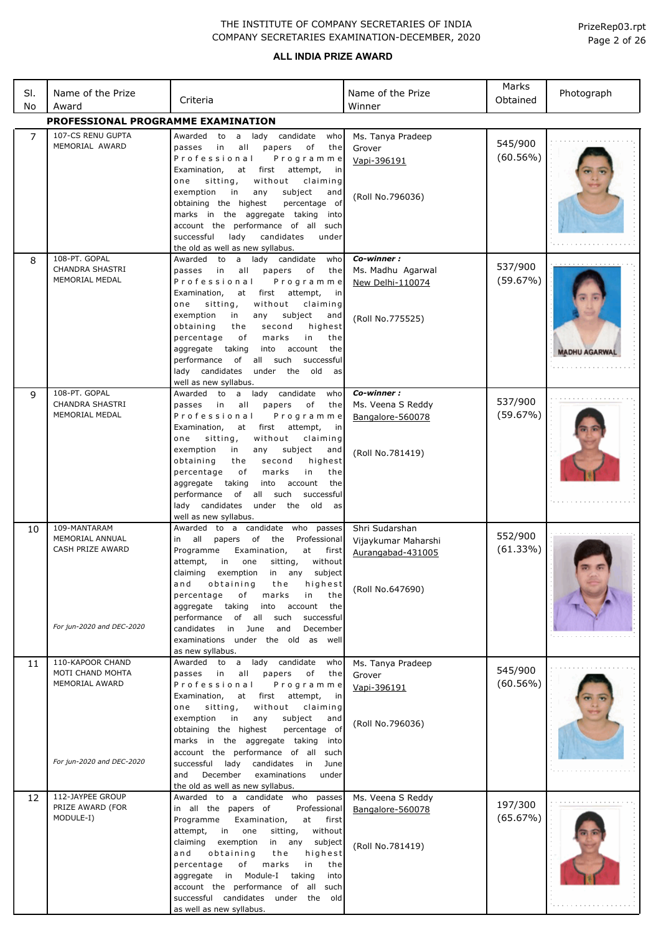### **ALL INDIA PRIZE AWARD**

| SI.<br>No      | Name of the Prize<br>Award                                | Criteria                                                                                                                                                                                                                                                                                                                                                                                                                                                                                                                     | Name of the Prize<br>Winner                                                    | Marks<br>Obtained      | Photograph          |
|----------------|-----------------------------------------------------------|------------------------------------------------------------------------------------------------------------------------------------------------------------------------------------------------------------------------------------------------------------------------------------------------------------------------------------------------------------------------------------------------------------------------------------------------------------------------------------------------------------------------------|--------------------------------------------------------------------------------|------------------------|---------------------|
|                | PROFESSIONAL PROGRAMME EXAMINATION                        |                                                                                                                                                                                                                                                                                                                                                                                                                                                                                                                              |                                                                                |                        |                     |
| $\overline{7}$ | 107-CS RENU GUPTA<br>MEMORIAL AWARD                       | lady candidate<br>Awarded<br>to<br>who<br>a<br>of<br>all<br>papers<br>the<br>passes<br>in<br>Professional<br>Programme                                                                                                                                                                                                                                                                                                                                                                                                       | Ms. Tanya Pradeep<br>Grover<br>Vapi-396191                                     | 545/900<br>$(60.56\%)$ |                     |
|                |                                                           | first<br>Examination,<br>at<br>attempt,<br>in<br>without<br>sitting,<br>claiming<br>one<br>exemption<br>subject<br>in<br>any<br>and<br>obtaining the highest<br>percentage of<br>marks in the aggregate taking<br>into<br>account the performance of all such<br>successful<br>lady<br>candidates<br>under<br>the old as well as new syllabus.                                                                                                                                                                               | (Roll No.796036)                                                               |                        |                     |
| 8              | 108-PT. GOPAL<br><b>CHANDRA SHASTRI</b><br>MEMORIAL MEDAL | candidate<br>Awarded<br>to<br>a<br>lady<br>who<br>in<br>all<br>papers<br>of<br>the<br>passes<br>Professional<br>Programme<br>Examination,<br>at<br>first<br>attempt,<br>in<br>without<br>sitting,<br>claiming<br>one<br>exemption<br>subject<br>in<br>any<br>and<br>obtaining<br>second<br>highest<br>the<br>in<br>percentage<br>оf<br>marks<br>the<br>aggregate<br>taking<br>into<br>account<br>the<br>of<br>all such<br>performance<br>successful<br>lady candidates<br>the<br>old<br>under<br>as<br>well as new syllabus. | Co-winner:<br>Ms. Madhu Agarwal<br>New Delhi-110074<br>(Roll No.775525)        | 537/900<br>(59.67%)    | <b>MADHU AGARWA</b> |
| 9              | 108-PT. GOPAL<br><b>CHANDRA SHASTRI</b><br>MEMORIAL MEDAL | lady candidate<br>Awarded to<br>$\mathsf{a}$<br>who<br>passes<br>in<br>all<br>papers<br>of<br>the<br>Professional<br>Programme<br>Examination,<br>first<br>attempt,<br>at<br>in<br>without<br>sitting,<br>claiming<br>one<br>exemption<br>subject<br>in<br>any<br>and<br>second<br>obtaining<br>the<br>highest<br>percentage<br>оf<br>marks<br>in<br>the<br>the<br>aggregate<br>taking<br>into<br>account<br>performance<br>of<br>all such<br>successful<br>lady candidates<br>old<br>under<br>the<br>as                     | Co-winner:<br>Ms. Veena S Reddy<br>Bangalore-560078<br>(Roll No.781419)        | 537/900<br>(59.67%)    |                     |
| 10             | 109-MANTARAM<br>MEMORIAL ANNUAL<br>CASH PRIZE AWARD       | well as new syllabus.<br>Awarded to a candidate who passes<br>all<br>of<br>Professional<br>papers<br>the<br>in<br>Examination,<br>Programme<br>at<br>first<br>without<br>in<br>sitting,<br>attempt,<br>one<br>claiming<br>exemption<br>in<br>subject<br>any<br>obtaining<br>highest<br>and<br>the<br>percentage<br>of<br>marks<br>in<br>the<br>taking<br>aggregate<br>into account<br>the<br>of all<br>such<br>performance<br>successful                                                                                     | Shri Sudarshan<br>Vijaykumar Maharshi<br>Aurangabad-431005<br>(Roll No.647690) | 552/900<br>(61.33%)    |                     |
|                | For jun-2020 and DEC-2020                                 | June<br>and<br>December<br>candidates in<br>examinations under the old as well<br>as new syllabus.                                                                                                                                                                                                                                                                                                                                                                                                                           |                                                                                |                        |                     |
| 11             | 110-KAPOOR CHAND<br>MOTI CHAND MOHTA<br>MEMORIAL AWARD    | a lady candidate<br>Awarded to<br>who<br>passes in<br>all<br>papers<br>of<br>the<br>Professional<br>Programme<br>first<br>Examination,<br>attempt,<br>at<br>in<br>sitting,<br>without<br>one<br>claiming<br>exemption<br>subject<br>in<br>any<br>and<br>obtaining the highest<br>percentage of<br>marks in the aggregate taking into<br>account the performance of all such                                                                                                                                                  | Ms. Tanya Pradeep<br>Grover<br>Vapi-396191<br>(Roll No.796036)                 | 545/900<br>$(60.56\%)$ |                     |
|                | For jun-2020 and DEC-2020                                 | successful lady candidates in<br>June<br>December<br>examinations<br>and<br>under<br>the old as well as new syllabus.                                                                                                                                                                                                                                                                                                                                                                                                        |                                                                                |                        |                     |
| 12             | 112-JAYPEE GROUP<br>PRIZE AWARD (FOR<br>MODULE-I)         | Awarded to a candidate who passes<br>in all the papers of<br>Professional<br>Programme<br>Examination,<br>at<br>first<br>attempt,<br>in<br>one<br>sitting,<br>without<br>claiming<br>exemption<br>in any<br>subject<br>and<br>obtaining<br>the<br>highest<br>percentage<br>of<br>marks<br>in<br>the<br>aggregate in Module-I<br>taking<br>into<br>account the performance of all such<br>successful candidates under the old<br>as well as new syllabus.                                                                     | Ms. Veena S Reddy<br>Bangalore-560078<br>(Roll No.781419)                      | 197/300<br>(65.67%)    |                     |

Page 2 of 26 PrizeRep03.rpt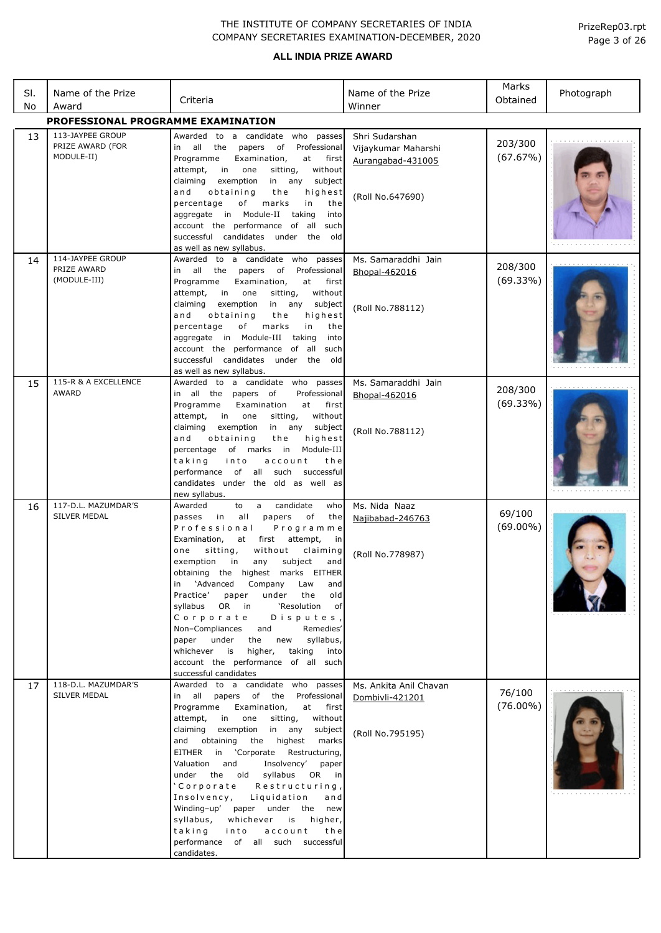| SI.<br>No | Name of the Prize<br>Award                         | Criteria                                                                                                                                                                                                                                                                                                                                                                                                                                                                                                                                                                                                                                         | Name of the Prize<br>Winner                                                    | Marks<br>Obtained     | Photograph |
|-----------|----------------------------------------------------|--------------------------------------------------------------------------------------------------------------------------------------------------------------------------------------------------------------------------------------------------------------------------------------------------------------------------------------------------------------------------------------------------------------------------------------------------------------------------------------------------------------------------------------------------------------------------------------------------------------------------------------------------|--------------------------------------------------------------------------------|-----------------------|------------|
|           | PROFESSIONAL PROGRAMME EXAMINATION                 |                                                                                                                                                                                                                                                                                                                                                                                                                                                                                                                                                                                                                                                  |                                                                                |                       |            |
| 13        | 113-JAYPEE GROUP<br>PRIZE AWARD (FOR<br>MODULE-II) | Awarded to a candidate who passes<br>in all the<br>papers<br>of<br>Professional<br>Programme<br>Examination,<br>at<br>first<br>without<br>attempt,<br>in<br>one<br>sitting,<br>exemption<br>claiming<br>in any<br>subject<br>obtaining<br>and<br>the<br>highest<br>percentage<br>of<br>marks<br>in<br>the<br>aggregate in Module-II taking<br>into<br>account the performance of<br>such<br>all<br>successful candidates under the old<br>as well as new syllabus.                                                                                                                                                                               | Shri Sudarshan<br>Vijaykumar Maharshi<br>Aurangabad-431005<br>(Roll No.647690) | 203/300<br>(67.67%)   |            |
| 14        | 114-JAYPEE GROUP<br>PRIZE AWARD<br>(MODULE-III)    | Awarded to a candidate who<br>passes<br>in all the papers<br>Professional<br>of<br>Programme<br>Examination,<br>at<br>first<br>attempt,<br>in<br>one<br>sitting,<br>without<br>claiming<br>exemption<br>in any<br>subject<br>and<br>obtaining<br>highest<br>the<br>of<br>marks<br>in<br>percentage<br>the<br>aggregate in Module-III<br>taking<br>into<br>account the performance of all<br>such<br>successful candidates under the old<br>as well as new syllabus.                                                                                                                                                                              | Ms. Samaraddhi Jain<br>Bhopal-462016<br>(Roll No.788112)                       | 208/300<br>(69.33%)   |            |
| 15        | 115-R & A EXCELLENCE<br>AWARD                      | Awarded to a candidate who passes<br>in all the papers of<br>Professional<br>Programme<br>Examination<br>at<br>first<br>without<br>attempt,<br>in<br>one<br>sitting,<br>claiming<br>exemption<br>in any<br>subject<br>and<br>obtaining<br>highest<br>the<br>of marks in<br>Module-III<br>percentage<br>taking<br>into<br>account<br>the<br>performance<br>of<br>all<br>such<br>successful<br>candidates under the old as well as<br>new syllabus.                                                                                                                                                                                                | Ms. Samaraddhi Jain<br>Bhopal-462016<br>(Roll No.788112)                       | 208/300<br>(69.33%)   |            |
| 16        | 117-D.L. MAZUMDAR'S<br>SILVER MEDAL                | Awarded<br>candidate<br>to<br>who<br>a<br>in<br>all<br>оf<br>the<br>passes<br>papers<br>Professional<br>Programme<br>Examination,<br>at<br>first<br>attempt,<br>in<br>sitting,<br>without<br>claiming<br>one<br>subject<br>exemption<br>in<br>any<br>and<br>obtaining the highest marks EITHER<br>in 'Advanced<br>Company<br>Law<br>and<br>Practice'<br>under<br>old<br>paper<br>the<br>syllabus OR in<br>'Resolution<br>of<br>Disputes,<br>Corporate<br>Non-Compliances and<br>Remedies'<br>paper under<br>syllabus,<br>the<br>new<br>whichever is<br>higher,<br>taking<br>into<br>account the performance of all such<br>successful candidates | Ms. Nida Naaz<br>Najibabad-246763<br>(Roll No.778987)                          | 69/100<br>$(69.00\%)$ |            |
| 17        | 118-D.L. MAZUMDAR'S<br>SILVER MEDAL                | Awarded to a candidate who passes<br>in all papers of the Professional<br>Programme<br>Examination, at first<br>attempt,<br>in one<br>sitting,<br>without<br>claiming exemption in any<br>subject<br>and obtaining the highest<br>marks<br>EITHER in 'Corporate Restructuring,<br>Valuation and<br>Insolvency'<br>paper<br>under the old syllabus<br>OR in<br>'Corporate<br>Restructuring,<br>Insolvency, Liquidation<br>and<br>Winding-up' paper under the new<br>whichever is<br>syllabus,<br>higher,<br>account<br>taking into<br>the<br>performance of all such successful<br>candidates.                                                    | Ms. Ankita Anil Chavan<br>Dombivli-421201<br>(Roll No.795195)                  | 76/100<br>$(76.00\%)$ |            |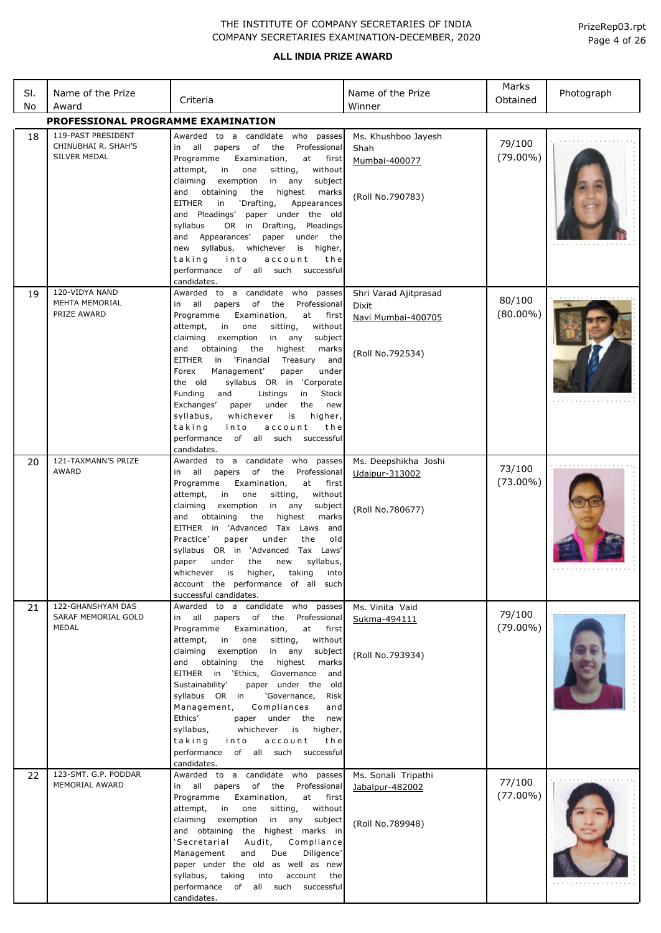### **ALL INDIA PRIZE AWARD**

| SI.<br>No | Name of the Prize<br>Award                                | Criteria                                                                                                                                                                                                                                                                                                                                                                                                                                                                                                                                                                                                                       | Name of the Prize<br>Winner                                              | Marks<br>Obtained     | Photograph |
|-----------|-----------------------------------------------------------|--------------------------------------------------------------------------------------------------------------------------------------------------------------------------------------------------------------------------------------------------------------------------------------------------------------------------------------------------------------------------------------------------------------------------------------------------------------------------------------------------------------------------------------------------------------------------------------------------------------------------------|--------------------------------------------------------------------------|-----------------------|------------|
|           | PROFESSIONAL PROGRAMME EXAMINATION                        |                                                                                                                                                                                                                                                                                                                                                                                                                                                                                                                                                                                                                                |                                                                          |                       |            |
| 18        | 119-PAST PRESIDENT<br>CHINUBHAI R. SHAH'S<br>SILVER MEDAL | Awarded to a candidate who passes<br>all papers of<br>the<br>Professional<br>in<br>Programme<br>Examination,<br>at first<br>attempt,<br>in<br>one<br>sitting,<br>without<br>claiming<br>exemption<br>in<br>any<br>subject<br>obtaining<br>the<br>highest<br>marks<br>and<br>'Drafting,<br>EITHER<br>in<br>Appearances<br>and Pleadings'<br>paper under the old<br>OR in Drafting,<br>syllabus<br>Pleadings<br>and Appearances'<br>paper under the<br>syllabus,<br>whichever<br>is<br>higher,<br>new<br>taking<br>into<br>account<br>the<br>performance of all such successful<br>candidates.                                   | Ms. Khushboo Jayesh<br>Shah<br>Mumbai-400077<br>(Roll No.790783)         | 79/100<br>$(79.00\%)$ |            |
| 19        | 120-VIDYA NAND<br><b>MEHTA MEMORIAL</b><br>PRIZE AWARD    | Awarded to a candidate who passes<br>in all papers of the<br>Professional<br>Programme<br>Examination,<br>at first<br>attempt,<br>in<br>one<br>sitting,<br>without<br>claiming<br>exemption<br>in any<br>subject<br>the<br>and<br>obtaining<br>highest<br>marks<br>EITHER<br>in 'Financial<br>Treasury<br>and<br>Management'<br>Forex<br>paper<br>under<br>syllabus OR in 'Corporate<br>the old<br>Funding<br>and<br>Listings<br>in<br>Stock<br>Exchanges'<br>under<br>the<br>paper<br>new<br>syllabus,<br>whichever<br>is<br>higher,<br>taking<br>into<br>account<br>the<br>performance of all such successful<br>candidates. | Shri Varad Ajitprasad<br>Dixit<br>Navi Mumbai-400705<br>(Roll No.792534) | 80/100<br>$(80.00\%)$ |            |
| 20        | 121-TAXMANN'S PRIZE<br><b>AWARD</b>                       | Awarded to a candidate who passes<br>papers of the<br>Professional<br>in all<br>Programme<br>Examination,<br>at<br>first<br>in<br>one<br>sitting,<br>without<br>attempt,<br>claiming<br>exemption<br>in any<br>subject<br>obtaining<br>the<br>highest<br>marks<br>and<br>EITHER in 'Advanced Tax Laws and<br>paper<br>under<br>Practice'<br>the<br>old<br>syllabus OR in 'Advanced Tax Laws'<br>syllabus,<br>paper<br>under<br>the<br>new<br>whichever is<br>higher, taking<br>into<br>account the performance of all such<br>successful candidates.                                                                           | Ms. Deepshikha Joshi<br><b>Udaipur-313002</b><br>(Roll No.780677)        | 73/100<br>$(73.00\%)$ |            |
| 21        | 122-GHANSHYAM DAS<br>SARAF MEMORIAL GOLD<br>MEDAL         | to a candidate who passes<br>Awarded<br>papers of the Professional<br>in all<br>Programme<br>Examination,<br>at<br>first<br>attempt,<br>in one<br>sitting,<br>without<br>claiming<br>exemption in any<br>subject<br>highest<br>and<br>obtaining<br>the<br>marks<br>EITHER in 'Ethics, Governance and<br>paper under the old<br>Sustainability'<br>syllabus OR in<br>'Governance,<br>Risk<br>Compliances<br>Management,<br>and<br>Ethics'<br>paper under the new<br>syllabus,<br>whichever is<br>higher,<br>taking<br>into<br>account<br>the<br>performance of all such successful<br>candidates.                               | Ms. Vinita Vaid<br>Sukma-494111<br>(Roll No.793934)                      | 79/100<br>$(79.00\%)$ |            |
| 22        | 123-SMT. G.P. PODDAR<br>MEMORIAL AWARD                    | Awarded to a candidate who passes<br>in all papers of the<br>Professional<br>Programme<br>Examination,<br>at first<br>attempt,<br>in<br>one<br>sitting,<br>without<br>claiming<br>exemption<br>in any<br>subject<br>and obtaining the highest marks in<br>'Secretarial<br>Audit,<br>Compliance<br>Due<br>Diligence'<br>Management<br>and<br>paper under the old as well as new<br>syllabus, taking<br>account<br>into<br>the<br>performance of all such successful<br>candidates.                                                                                                                                              | Ms. Sonali Tripathi<br>Jabalpur-482002<br>(Roll No.789948)               | 77/100<br>$(77.00\%)$ |            |

Page 4 of 26 PrizeRep03.rpt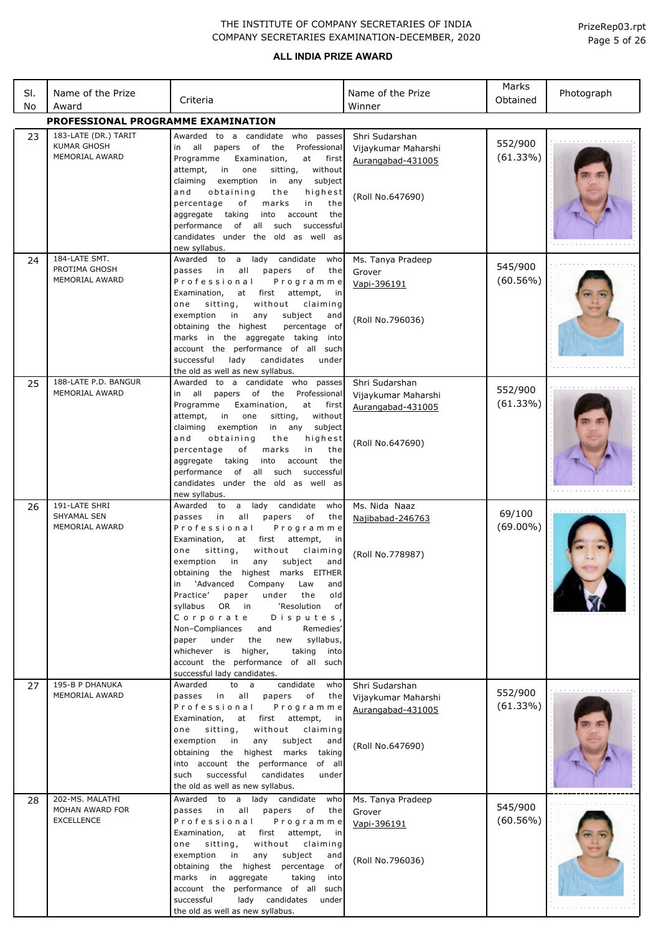| SI.<br>No | Name of the Prize<br>Award                                          | Criteria                                                                                                                                                                                                                                                                                                                                                                                                                                                                                                                                                                                                                                                                | Name of the Prize<br>Winner                                                    | Marks<br>Obtained      | Photograph |
|-----------|---------------------------------------------------------------------|-------------------------------------------------------------------------------------------------------------------------------------------------------------------------------------------------------------------------------------------------------------------------------------------------------------------------------------------------------------------------------------------------------------------------------------------------------------------------------------------------------------------------------------------------------------------------------------------------------------------------------------------------------------------------|--------------------------------------------------------------------------------|------------------------|------------|
|           | PROFESSIONAL PROGRAMME EXAMINATION                                  |                                                                                                                                                                                                                                                                                                                                                                                                                                                                                                                                                                                                                                                                         |                                                                                |                        |            |
| 23        | 183-LATE (DR.) TARIT<br><b>KUMAR GHOSH</b><br><b>MEMORIAL AWARD</b> | Awarded to a candidate who passes<br>all<br>Professional<br>papers<br>of<br>the<br>in<br>Programme<br>Examination,<br>at<br>first<br>in<br>without<br>attempt,<br>one<br>sitting,<br>in any<br>claiming<br>exemption<br>subject<br>obtaining<br>the<br>highest<br>and<br>percentage<br>marks<br>in<br>the<br>оf<br>aggregate taking<br>into<br>account<br>the<br>performance of all such<br>successful<br>candidates under the old as well as<br>new syllabus.                                                                                                                                                                                                          | Shri Sudarshan<br>Vijaykumar Maharshi<br>Aurangabad-431005<br>(Roll No.647690) | 552/900<br>(61.33%)    |            |
| 24        | 184-LATE SMT.<br>PROTIMA GHOSH<br>MEMORIAL AWARD                    | a lady candidate<br>Awarded to<br>who<br>all<br>passes in<br>papers<br>оf<br>the<br>Professional<br>Programme<br>Examination,<br>at first<br>attempt,<br>in<br>sitting,<br>without<br>one<br>claiming<br>exemption<br>subject<br>in<br>any<br>and<br>obtaining the highest<br>percentage of<br>marks in the aggregate taking<br>into<br>account the performance of all such<br>successful<br>lady<br>candidates<br>under<br>the old as well as new syllabus.                                                                                                                                                                                                            | Ms. Tanya Pradeep<br>Grover<br>Vapi-396191<br>(Roll No.796036)                 | 545/900<br>$(60.56\%)$ |            |
| 25        | 188-LATE P.D. BANGUR<br>MEMORIAL AWARD                              | Awarded to a candidate who passes<br>all<br>papers of the<br>Professional<br>in<br>Programme<br>Examination,<br>at<br>first<br>in<br>without<br>attempt,<br>one<br>sitting,<br>claiming<br>exemption<br>in any<br>subject<br>obtaining<br>and<br>the<br>highest<br>marks<br>in<br>the<br>percentage<br>of<br>aggregate<br>taking<br>into<br>account<br>the<br>performance of all such<br>successful<br>candidates under the old as well as<br>new syllabus.                                                                                                                                                                                                             | Shri Sudarshan<br>Vijaykumar Maharshi<br>Aurangabad-431005<br>(Roll No.647690) | 552/900<br>(61.33%)    |            |
| 26        | 191-LATE SHRI<br><b>SHYAMAL SEN</b><br>MEMORIAL AWARD               | lady<br>candidate<br>Awarded to<br>a<br>who<br>passes<br>in<br>all<br>papers<br>оf<br>the<br>Professional<br>Programme<br>Examination,<br>at<br>first<br>attempt,<br>in<br>sitting,<br>without<br>claiming<br>one<br>subject<br>exemption<br>in<br>any<br>and<br>obtaining the highest marks EITHER<br>'Advanced<br>Company<br>Law<br>and<br>in<br>old<br>Practice'<br>paper<br>under<br>the<br>OR<br>'Resolution<br>syllabus<br>in<br>оf<br>Disputes,<br>Corporate<br>Non-Compliances<br>Remedies'<br>and<br>under<br>syllabus,<br>paper<br>the<br>new<br>whichever is higher,<br>taking<br>into<br>account the performance of all such<br>successful lady candidates. | Ms. Nida Naaz<br>Najibabad-246763<br>(Roll No.778987)                          | 69/100<br>$(69.00\%)$  |            |
| 27        | 195-B P DHANUKA<br>MEMORIAL AWARD                                   | candidate<br>who<br>Awarded<br>to a<br>all<br>passes in<br>papers<br>of<br>the<br>Professional<br>Programme<br>Examination,<br>attempt,<br>at first<br>in<br>without<br>sitting,<br>claiming<br>one<br>subject<br>exemption<br>in<br>any<br>and<br>obtaining the highest marks<br>taking<br>into account the performance<br>of all<br>successful<br>candidates<br>such<br>under<br>the old as well as new syllabus.                                                                                                                                                                                                                                                     | Shri Sudarshan<br>Vijaykumar Maharshi<br>Aurangabad-431005<br>(Roll No.647690) | 552/900<br>(61.33%)    |            |
| 28        | 202-MS. MALATHI<br>MOHAN AWARD FOR<br><b>EXCELLENCE</b>             | Awarded to a lady candidate<br>who<br>all<br>passes in<br>papers<br>of<br>the<br>Professional<br>Programme<br>Examination,<br>at first attempt,<br>in<br>sitting,<br>without<br>claiming<br>one<br>exemption<br>subject<br>in<br>any<br>and<br>obtaining the highest<br>percentage of<br>taking<br>marks in aggregate<br>into<br>account the performance of all such<br>successful<br>lady candidates under<br>the old as well as new syllabus.                                                                                                                                                                                                                         | Ms. Tanya Pradeep<br>Grover<br>Vapi-396191<br>(Roll No.796036)                 | 545/900<br>(60.56%)    |            |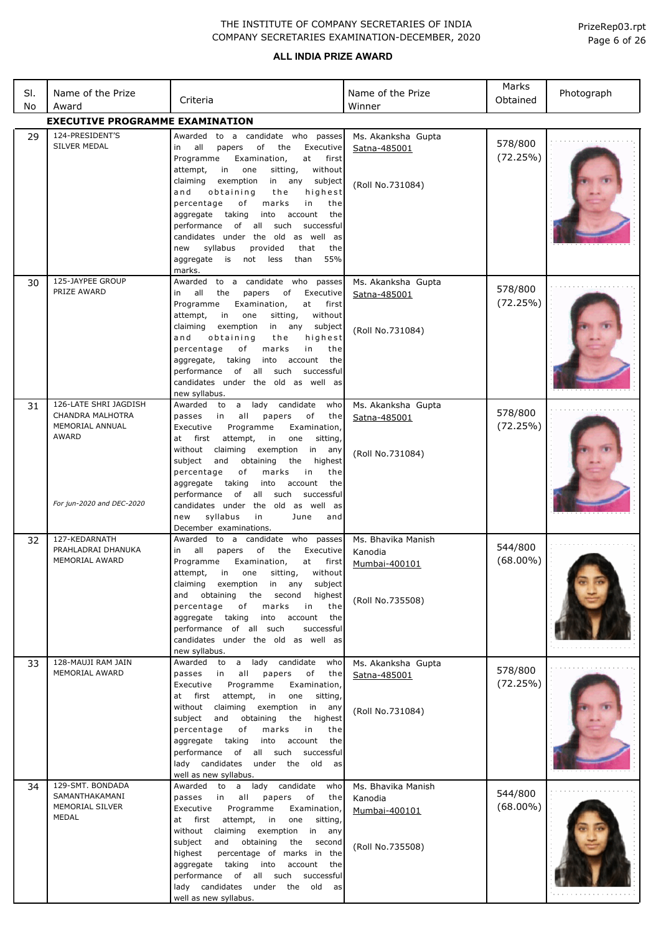| SI.<br>No | Name of the Prize<br>Award                                                                         | Criteria                                                                                                                                                                                                                                                                                                                                                                                                                                                                                                                                               | Name of the Prize<br>Winner                                        | Marks<br>Obtained      | Photograph |
|-----------|----------------------------------------------------------------------------------------------------|--------------------------------------------------------------------------------------------------------------------------------------------------------------------------------------------------------------------------------------------------------------------------------------------------------------------------------------------------------------------------------------------------------------------------------------------------------------------------------------------------------------------------------------------------------|--------------------------------------------------------------------|------------------------|------------|
|           | <b>EXECUTIVE PROGRAMME EXAMINATION</b>                                                             |                                                                                                                                                                                                                                                                                                                                                                                                                                                                                                                                                        |                                                                    |                        |            |
| 29        | 124-PRESIDENT'S<br>SILVER MEDAL                                                                    | Awarded to a candidate who passes<br>all<br>of<br>Executive<br>papers<br>the<br>in<br>Programme<br>Examination,<br>at<br>first<br>without<br>attempt,<br>in<br>one<br>sitting,<br>claiming<br>exemption<br>in any<br>subject<br>obtaining<br>and<br>the<br>highest<br>percentage<br>of<br>marks<br>in<br>the<br>taking<br>account<br>aggregate<br>into<br>the<br>of all such<br>performance<br>successful<br>candidates under the old as well as<br>syllabus<br>provided<br>that<br>new<br>the<br>55%<br>aggregate<br>is<br>not less<br>than<br>marks. | Ms. Akanksha Gupta<br>Satna-485001<br>(Roll No.731084)             | 578/800<br>(72.25%)    |            |
| 30        | 125-JAYPEE GROUP<br>PRIZE AWARD                                                                    | to a candidate who<br>passes<br>Awarded<br>all<br>of<br>Executive<br>the<br>papers<br>in<br>Programme<br>Examination,<br>at<br>first<br>attempt,<br>in<br>one<br>sitting,<br>without<br>exemption<br>claiming<br>in any<br>subject<br>highest<br>and<br>obtaining<br>the<br>percentage<br>оf<br>marks<br>in<br>the<br>taking<br>account<br>aggregate,<br>into<br>the<br>of all<br>performance<br>such<br>successful<br>candidates under the old as well as<br>new syllabus.                                                                            | Ms. Akanksha Gupta<br>Satna-485001<br>(Roll No.731084)             | 578/800<br>(72.25%)    |            |
| 31        | 126-LATE SHRI JAGDISH<br>CHANDRA MALHOTRA<br>MEMORIAL ANNUAL<br>AWARD<br>For jun-2020 and DEC-2020 | a<br>lady candidate<br>Awarded to<br>who<br>all<br>in<br>papers<br>оf<br>the<br>passes<br>Programme<br>Examination,<br>Executive<br>at<br>first<br>attempt,<br>in<br>one<br>sitting,<br>without claiming<br>exemption<br>in<br>any<br>highest<br>subject<br>and<br>obtaining<br>the<br>percentage<br>оf<br>marks<br>in<br>the<br>aggregate<br>taking<br>into<br>account<br>the<br>of<br>all such<br>successful<br>performance<br>candidates under the old as well as                                                                                   | Ms. Akanksha Gupta<br>Satna-485001<br>(Roll No.731084)             | 578/800<br>(72.25%)    |            |
| 32        | 127-KEDARNATH<br>PRAHLADRAI DHANUKA<br>MEMORIAL AWARD                                              | syllabus<br>new<br>in<br>June<br>and<br>December examinations.<br>Awarded to a candidate who passes<br>of<br>all<br>papers<br>Executive<br>in<br>the<br>Programme<br>Examination,<br>at first<br>attempt, in one sitting, without<br>claiming exemption in any<br>subject<br>and obtaining<br>the second<br>highest<br>percentage<br>marks<br>of<br>in<br>the<br>aggregate taking<br>into<br>account<br>the<br>performance of all such<br>successful<br>candidates under the old as well as<br>new syllabus.                                           | Ms. Bhavika Manish<br>Kanodia<br>Mumbai-400101<br>(Roll No.735508) | 544/800<br>$(68.00\%)$ |            |
| 33        | 128-MAUJI RAM JAIN<br><b>MEMORIAL AWARD</b>                                                        | Awarded to a lady candidate who<br>passes in all<br>papers<br>of<br>the<br>Programme<br>Executive<br>Examination,<br>one<br>at first attempt,<br>in<br>sitting,<br>without claiming exemption<br>in any<br>subject and<br>obtaining<br>the<br>highest<br>percentage<br>of<br>marks<br>in<br>the<br>aggregate taking<br>into account<br>the<br>performance of all such successful<br>lady candidates under the old<br>as<br>well as new syllabus.                                                                                                       | Ms. Akanksha Gupta<br>Satna-485001<br>(Roll No.731084)             | 578/800<br>(72.25%)    |            |
| 34        | 129-SMT. BONDADA<br>SAMANTHAKAMANI<br>MEMORIAL SILVER<br>MEDAL                                     | Awarded to a lady candidate<br>who<br>passes in<br>all<br>papers<br>of<br>the<br>Programme<br>Executive<br>Examination,<br>at first attempt,<br>in<br>one<br>sitting,<br>without<br>claiming exemption<br>in any<br>subject<br>and obtaining the second<br>highest<br>percentage of marks in the<br>aggregate taking into account<br>the<br>performance of all such successful<br>lady candidates under the old as<br>well as new syllabus.                                                                                                            | Ms. Bhavika Manish<br>Kanodia<br>Mumbai-400101<br>(Roll No.735508) | 544/800<br>$(68.00\%)$ |            |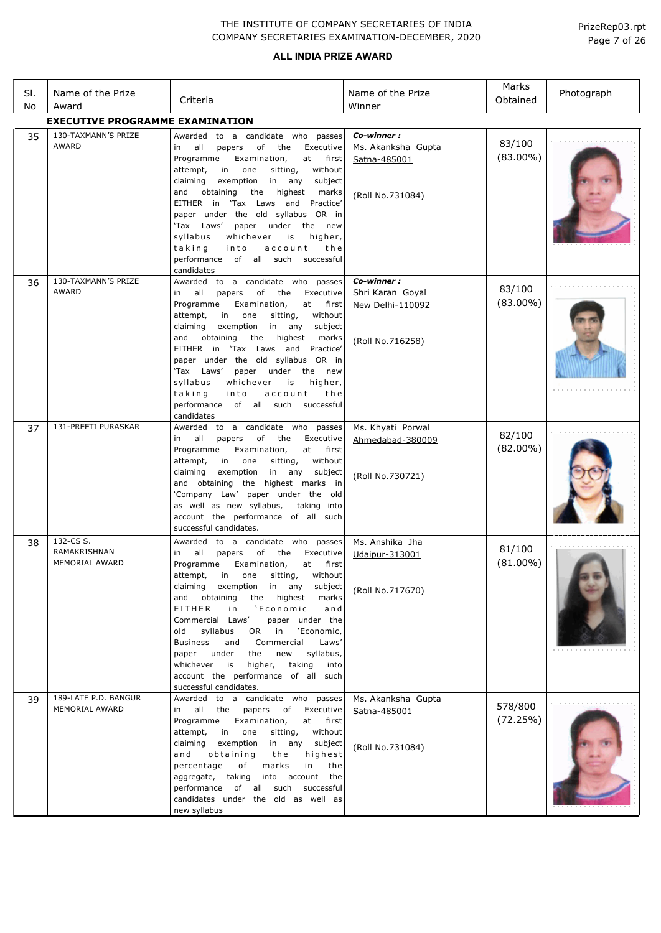| SI.<br>No | Name of the Prize<br>Award                  | Criteria                                                                                                                                                                                                                                                                                                                                                                                                                                                                                                                                                                        | Name of the Prize<br>Winner                                            | Marks<br>Obtained     | Photograph |
|-----------|---------------------------------------------|---------------------------------------------------------------------------------------------------------------------------------------------------------------------------------------------------------------------------------------------------------------------------------------------------------------------------------------------------------------------------------------------------------------------------------------------------------------------------------------------------------------------------------------------------------------------------------|------------------------------------------------------------------------|-----------------------|------------|
|           | <b>EXECUTIVE PROGRAMME EXAMINATION</b>      |                                                                                                                                                                                                                                                                                                                                                                                                                                                                                                                                                                                 |                                                                        |                       |            |
| 35        | 130-TAXMANN'S PRIZE<br>AWARD                | Awarded to a candidate who passes<br>o <sub>f</sub><br>Executive<br>in<br>all<br>papers<br>the<br>Programme<br>Examination,<br>at<br>first<br>without<br>attempt,<br>in<br>one<br>sitting,<br>exemption<br>in<br>claiming<br>any<br>subject<br>and<br>obtaining<br>the<br>highest<br>marks<br>EITHER in 'Tax Laws and Practice'<br>paper under the old syllabus OR in<br>'Tax Laws'<br>paper under<br>the new<br>syllabus<br>whichever<br>is<br>higher,<br>taking<br>into<br>account<br>the<br>performance of all such successful<br>candidates                                 | Co-winner:<br>Ms. Akanksha Gupta<br>Satna-485001<br>(Roll No.731084)   | 83/100<br>$(83.00\%)$ |            |
| 36        | 130-TAXMANN'S PRIZE<br>AWARD                | Awarded to a candidate who passes<br>of<br>Executive<br>in all<br>papers<br>the<br>Examination,<br>Programme<br>at<br>first<br>one<br>attempt,<br>in<br>sitting,<br>without<br>claiming<br>exemption<br>in any<br>subject<br>obtaining<br>highest<br>and<br>the<br>marks<br>EITHER in 'Tax Laws and<br>Practice'<br>paper under the old syllabus OR in<br>'Tax Laws'<br>paper under<br>the<br>new<br>syllabus<br>whichever<br>is<br>higher,<br>taking<br>into<br>account<br>the<br>performance of all such successful<br>candidates                                             | Co-winner:<br>Shri Karan Goyal<br>New Delhi-110092<br>(Roll No.716258) | 83/100<br>$(83.00\%)$ |            |
| 37        | 131-PREETI PURASKAR                         | Awarded to a candidate who passes<br>in all<br>papers<br>of<br>the<br>Executive<br>Programme<br>Examination,<br>at<br>first<br>sitting,<br>without<br>attempt,<br>in<br>one<br>in any<br>claiming<br>exemption<br>subject<br>and obtaining the highest marks in<br>'Company Law' paper under the old<br>as well as new syllabus,<br>taking into<br>account the performance of all such<br>successful candidates.                                                                                                                                                                | Ms. Khyati Porwal<br>Ahmedabad-380009<br>(Roll No.730721)              | 82/100<br>$(82.00\%)$ |            |
| 38        | 132-CS S.<br>RAMAKRISHNAN<br>MEMORIAL AWARD | Awarded to a candidate who passes<br>all<br>papers<br>of the<br>Executive<br>in<br>Programme Examination,<br>at<br>first<br>attempt, in one sitting, without<br>claiming exemption in any<br>subject<br>and obtaining<br>the highest<br>marks<br>EITHER<br>'Economic<br>and<br>i n<br>Commercial Laws'<br>paper under the<br>syllabus<br>OR in<br>'Economic,<br>old<br>Commercial<br><b>Business</b><br>Laws'<br>and<br>paper under<br>the<br>new<br>syllabus,<br>taking<br>whichever<br>is<br>higher,<br>into<br>account the performance of all such<br>successful candidates. | Ms. Anshika Jha<br>Udaipur-313001<br>(Roll No.717670)                  | 81/100<br>$(81.00\%)$ |            |
| 39        | 189-LATE P.D. BANGUR<br>MEMORIAL AWARD      | Awarded to a candidate who passes<br>in all the papers of Executive<br>Programme Examination,<br>at<br>first<br>attempt,<br>in<br>one<br>sitting,<br>without<br>claiming<br>exemption<br>in any subject<br>and<br>obtaining<br>the<br>highest<br>percentage<br>of<br>marks<br>in<br>the<br>into account<br>aggregate, taking<br>the<br>performance of all such successful<br>candidates under the old as well as<br>new syllabus                                                                                                                                                | Ms. Akanksha Gupta<br>Satna-485001<br>(Roll No.731084)                 | 578/800<br>(72.25%)   |            |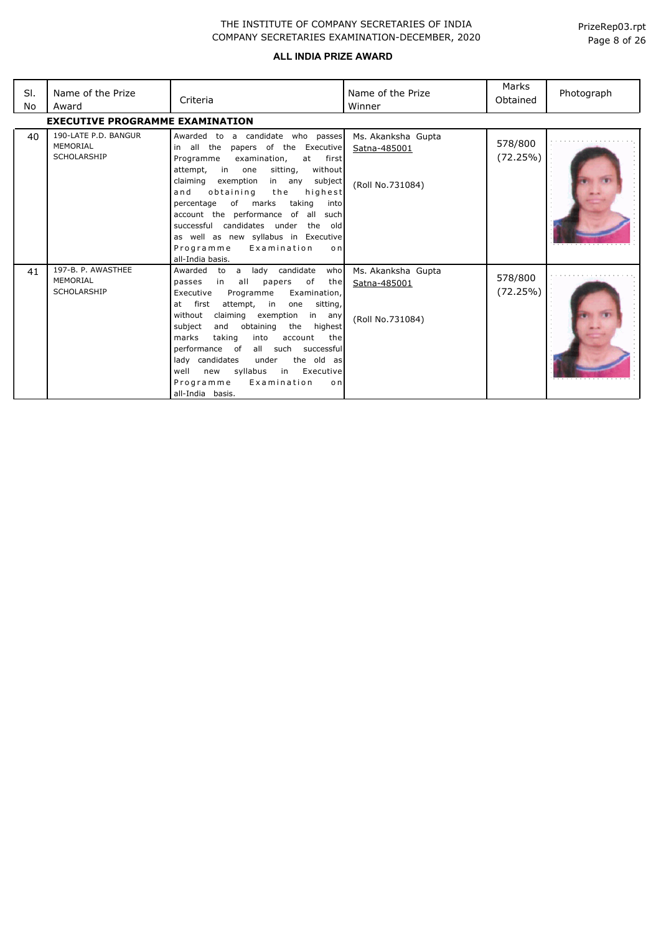| SI.<br>No | Name of the Prize<br>Award                             | Criteria                                                                                                                                                                                                                                                                                                                                                                                                                                                                                                    | Name of the Prize<br>Winner                            | Marks<br>Obtained   | Photograph |
|-----------|--------------------------------------------------------|-------------------------------------------------------------------------------------------------------------------------------------------------------------------------------------------------------------------------------------------------------------------------------------------------------------------------------------------------------------------------------------------------------------------------------------------------------------------------------------------------------------|--------------------------------------------------------|---------------------|------------|
|           | <b>EXECUTIVE PROGRAMME EXAMINATION</b>                 |                                                                                                                                                                                                                                                                                                                                                                                                                                                                                                             |                                                        |                     |            |
| 40        | 190-LATE P.D. BANGUR<br>MEMORIAL<br><b>SCHOLARSHIP</b> | Awarded to a candidate who passes<br>in all the<br>papers of the Executive<br>Programme<br>examination,<br>at<br>first<br>attempt, in one<br>sitting,<br>without<br>claiming<br>exemption<br>subject<br>in any<br>obtaining<br>the<br>highest<br>and<br>taking<br>of marks<br>percentage<br>into<br>account the performance of all<br>suchl<br>successful candidates under the<br>old<br>as well as new syllabus in Executive<br>Programme<br>Examination<br>onl<br>all-India basis.                        | Ms. Akanksha Gupta<br>Satna-485001<br>(Roll No.731084) | 578/800<br>(72.25%) |            |
| 41        | 197-B. P. AWASTHEE<br>MEMORIAL<br><b>SCHOLARSHIP</b>   | lady candidate<br>who<br>Awarded to a<br>of<br>in all<br>papers<br>passes<br>the<br>Executive<br>Examination,<br>Programme<br>at first<br>attempt, in<br>one<br>sitting,<br>without<br>claiming exemption in any<br>subject<br>and<br>obtaining<br>the<br>highest<br>marks<br>taking<br>into<br>account<br>the<br>performance of all such successful<br>lady candidates<br>under<br>the old as<br>syllabus<br>in Executive<br>well<br>new<br>Programme<br>Examination<br>o <sub>n</sub><br>all-India basis. | Ms. Akanksha Gupta<br>Satna-485001<br>(Roll No.731084) | 578/800<br>(72.25%) |            |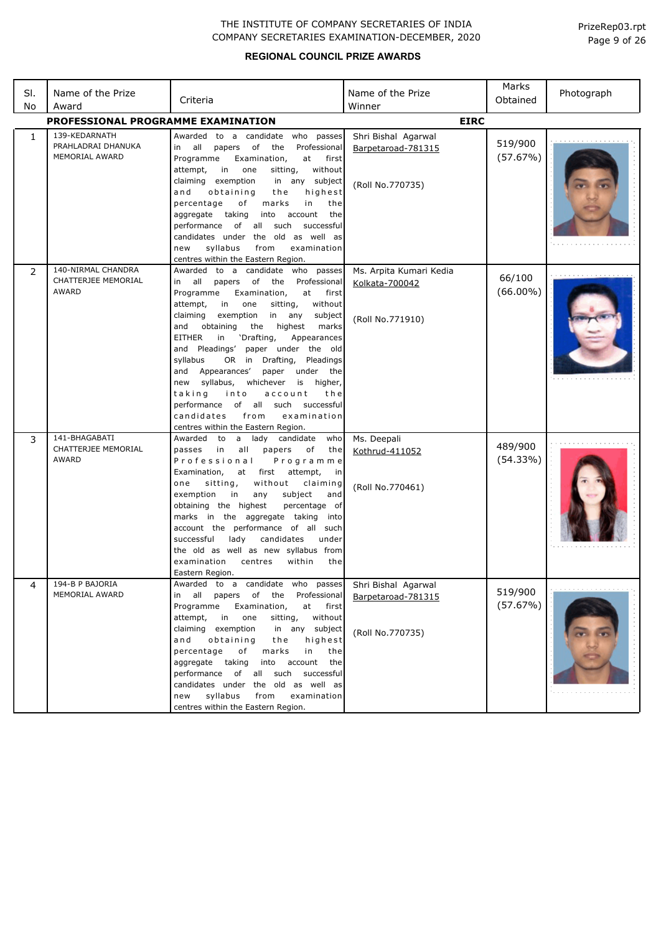| SI.<br>No    | Name of the Prize<br>Award                                   | Criteria                                                                                                                                                                                                                                                                                                                                                                                                                                                                                                                                                                                                                                                     | Name of the Prize<br>Winner                                   | Marks<br>Obtained     | Photograph |
|--------------|--------------------------------------------------------------|--------------------------------------------------------------------------------------------------------------------------------------------------------------------------------------------------------------------------------------------------------------------------------------------------------------------------------------------------------------------------------------------------------------------------------------------------------------------------------------------------------------------------------------------------------------------------------------------------------------------------------------------------------------|---------------------------------------------------------------|-----------------------|------------|
|              | PROFESSIONAL PROGRAMME EXAMINATION                           |                                                                                                                                                                                                                                                                                                                                                                                                                                                                                                                                                                                                                                                              | <b>EIRC</b>                                                   |                       |            |
| $\mathbf{1}$ | 139-KEDARNATH<br>PRAHLADRAI DHANUKA<br><b>MEMORIAL AWARD</b> | Awarded to a candidate who passes<br>in all<br>Professional<br>papers of<br>the<br>at<br>Programme<br>Examination,<br>first<br>without<br>attempt,<br>in<br>one<br>sitting,<br>claiming exemption<br>in any subject<br>highest<br>and<br>obtaining<br>the<br>percentage<br>of<br>marks<br>in<br>the<br>aggregate taking<br>into<br>account<br>the<br>performance of all such<br>successful<br>candidates under the old as well as<br>syllabus<br>examination<br>new<br>from<br>centres within the Eastern Region.                                                                                                                                            | Shri Bishal Agarwal<br>Barpetaroad-781315<br>(Roll No.770735) | 519/900<br>(57.67%)   |            |
| 2            | 140-NIRMAL CHANDRA<br>CHATTERJEE MEMORIAL<br>AWARD           | Awarded<br>to a candidate who passes<br>all<br>papers of the Professional<br>in<br>Examination,<br>Programme<br>at<br>first<br>attempt,<br>in<br>one<br>sitting,<br>without<br>claiming<br>exemption<br>in any<br>subject<br>obtaining<br>highest<br>and<br>the<br>marks<br><b>EITHER</b><br>'Drafting,<br>in<br>Appearances<br>and Pleadings' paper under the old<br>syllabus<br>OR in Drafting,<br>Pleadings<br>and Appearances'<br>under<br>the<br>paper<br>syllabus, whichever<br>is higher,<br>new<br>taking<br>into<br>account<br>the<br>performance of all such successful<br>candidates<br>from<br>examination<br>centres within the Eastern Region. | Ms. Arpita Kumari Kedia<br>Kolkata-700042<br>(Roll No.771910) | 66/100<br>$(66.00\%)$ |            |
| 3            | 141-BHAGABATI<br>CHATTERJEE MEMORIAL<br>AWARD                | Awarded to a lady candidate<br>who<br>passes<br>in<br>all<br>papers<br>of<br>the<br>Professional<br>Programme<br>Examination,<br>at first attempt,<br>in<br>sitting,<br>without<br>claiming<br>one<br>exemption<br>in<br>subject<br>any<br>and<br>obtaining the highest<br>percentage of<br>marks in the aggregate taking into<br>account the performance of all such<br>lady<br>successful<br>candidates<br>under<br>the old as well as new syllabus from<br>examination<br>centres<br>within<br>the<br>Eastern Region.                                                                                                                                     | Ms. Deepali<br>Kothrud-411052<br>(Roll No.770461)             | 489/900<br>(54.33%)   |            |
| 4            | 194-B P BAJORIA<br>MEMORIAL AWARD                            | Awarded to a candidate who passes<br>of the Professional<br>all<br>papers<br>in<br>Programme<br>at<br>Examination,<br>first<br>one<br>without<br>attempt,<br>in<br>sitting,<br>claiming exemption<br>in any subject<br>obtaining<br>highest<br>and<br>the<br>percentage<br>marks<br>of<br>in<br>the<br>aggregate taking<br>into account<br>the<br>performance of all such successful<br>candidates under the old as well as<br>syllabus<br>examination<br>new<br>from<br>centres within the Eastern Region.                                                                                                                                                  | Shri Bishal Agarwal<br>Barpetaroad-781315<br>(Roll No.770735) | 519/900<br>(57.67%)   |            |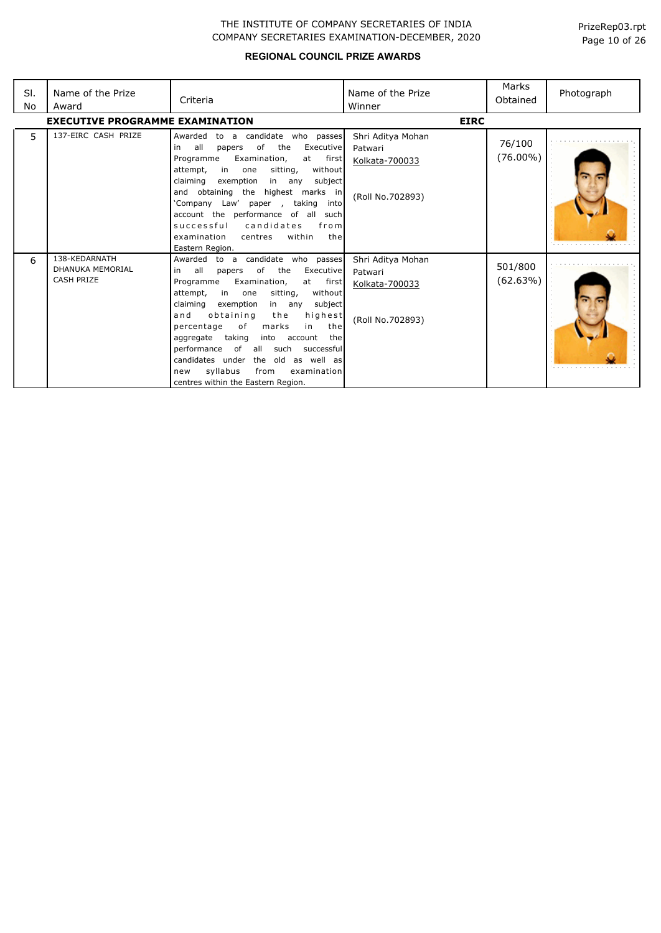| SI.<br>No | Name of the Prize<br>Award                                    | Criteria                                                                                                                                                                                                                                                                                                                                                                                                                                                                                                                         | Name of the Prize<br>Winner                                        | Marks<br>Obtained     | Photograph |
|-----------|---------------------------------------------------------------|----------------------------------------------------------------------------------------------------------------------------------------------------------------------------------------------------------------------------------------------------------------------------------------------------------------------------------------------------------------------------------------------------------------------------------------------------------------------------------------------------------------------------------|--------------------------------------------------------------------|-----------------------|------------|
|           | <b>EXECUTIVE PROGRAMME EXAMINATION</b>                        |                                                                                                                                                                                                                                                                                                                                                                                                                                                                                                                                  | <b>EIRC</b>                                                        |                       |            |
| 5         | 137-EIRC CASH PRIZE                                           | Awarded<br>to a candidate who passes<br>all<br>of<br>the<br>Executive<br>in<br>papers<br>Programme<br>Examination,<br>first<br>at<br>in<br>sitting,<br>without<br>attempt,<br>one<br>claiming<br>subject<br>exemption<br>in any<br>and obtaining the highest marks in<br>'Company Law' paper<br>taking<br>into<br>$\mathcal{L}$<br>account the performance of all<br>such<br>successful<br>candidates<br>from<br>within<br>the<br>examination<br>centres<br>Eastern Region.                                                      | Shri Aditya Mohan<br>Patwari<br>Kolkata-700033<br>(Roll No.702893) | 76/100<br>$(76.00\%)$ |            |
| 6         | 138-KEDARNATH<br><b>DHANUKA MEMORIAL</b><br><b>CASH PRIZE</b> | Awarded to a candidate who passes<br>all<br>of<br>the<br>Executive<br>in<br>papers<br>Examination,<br>Programme<br>at first<br>attempt,<br>in<br>sitting,<br>without<br>one<br>claiming<br>exemption<br>subject<br>in any<br>highest<br>and<br>obtaining<br>the<br>the<br>percentage<br>of<br>marks<br>in<br>taking<br>into<br>account<br>the<br>aggregate<br>of<br>performance<br>all such<br>successful<br>candidates under the old as well as<br>syllabus<br>from<br>examination<br>new<br>centres within the Eastern Region. | Shri Aditya Mohan<br>Patwari<br>Kolkata-700033<br>(Roll No.702893) | 501/800<br>(62.63%)   |            |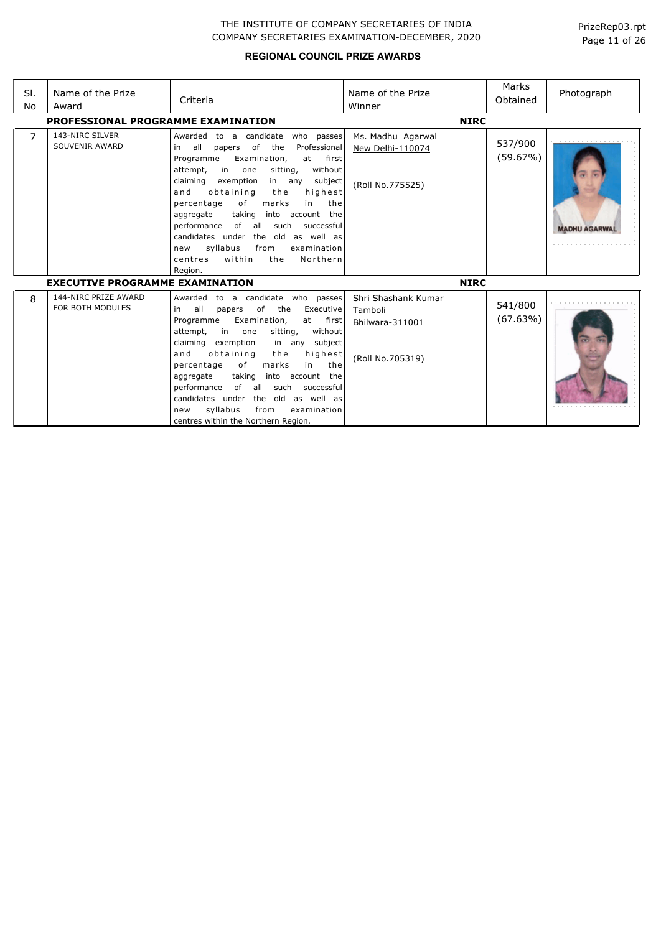| SI.<br>No | Name of the Prize<br>Award               | Criteria                                                                                                                                                                                                                                                                                                                                                                                                                                                                                                                                            | Name of the Prize<br>Winner                                           | Marks<br>Obtained   | Photograph           |
|-----------|------------------------------------------|-----------------------------------------------------------------------------------------------------------------------------------------------------------------------------------------------------------------------------------------------------------------------------------------------------------------------------------------------------------------------------------------------------------------------------------------------------------------------------------------------------------------------------------------------------|-----------------------------------------------------------------------|---------------------|----------------------|
|           | PROFESSIONAL PROGRAMME EXAMINATION       |                                                                                                                                                                                                                                                                                                                                                                                                                                                                                                                                                     | <b>NIRC</b>                                                           |                     |                      |
| 7         | 143-NIRC SILVER<br>SOUVENIR AWARD        | Awarded<br>to a candidate<br>who passes<br>of<br>the<br>all<br>Professional<br>in<br>papers<br>Examination,<br>at first<br>Programme<br>in<br>without<br>attempt,<br>sitting,<br>one<br>claiming<br>exemption<br>in any<br>subject<br>and<br>obtaining<br>the<br>highest<br>percentage<br>оf<br>marks<br>in<br>the<br>taking<br>into account the<br>aggregate<br>of all<br>such<br>performance<br>successful<br>candidates under<br>the old as well as<br>syllabus<br>from<br>examination<br>new<br>within<br>the<br>Northern<br>centres<br>Region. | Ms. Madhu Agarwal<br>New Delhi-110074<br>(Roll No.775525)             | 537/900<br>(59.67%) | <b>MADHU AGARWAL</b> |
|           | <b>EXECUTIVE PROGRAMME EXAMINATION</b>   |                                                                                                                                                                                                                                                                                                                                                                                                                                                                                                                                                     | <b>NIRC</b>                                                           |                     |                      |
| 8         | 144-NIRC PRIZE AWARD<br>FOR BOTH MODULES | Awarded<br>to a candidate who passes<br>all<br>of<br>the<br>Executive<br>in<br>papers<br>Examination,<br>first<br>Programme<br>at<br>without<br>attempt,<br>in<br>sitting,<br>one<br>claiming<br>exemption<br>subject<br>in any<br>obtaining<br>highest<br>and<br>the<br>of<br>marks<br>the<br>percentage<br>in<br>aggregate<br>taking<br>into account the<br>performance<br>of all such<br>successful<br>the old as well as<br>candidates under<br>syllabus<br>from<br>examination<br>new<br>centres within the Northern Region.                   | Shri Shashank Kumar<br>Tamboli<br>Bhilwara-311001<br>(Roll No.705319) | 541/800<br>(67.63%) |                      |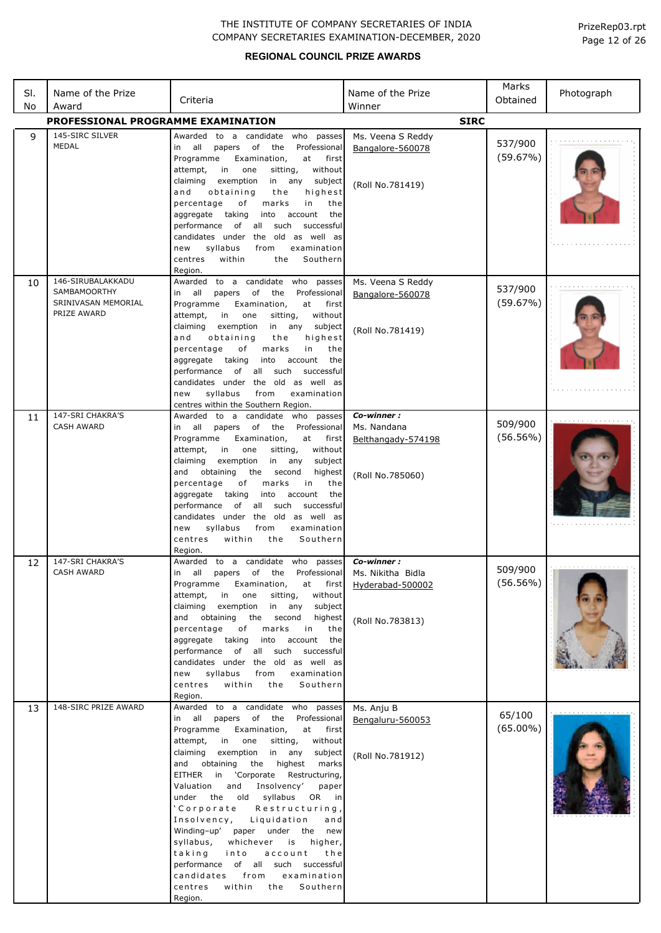| PrizeRep03.rpt |  |  |
|----------------|--|--|
| Page 12 of 26  |  |  |

| SI.<br>No | Name of the Prize<br>Award                                                     | Criteria                                                                                                                                                                                                                                                                                                                                                                                                                                                                                                                                                                                                                                                                                    | Name of the Prize<br>Winner                                             | Marks<br>Obtained      | Photograph |
|-----------|--------------------------------------------------------------------------------|---------------------------------------------------------------------------------------------------------------------------------------------------------------------------------------------------------------------------------------------------------------------------------------------------------------------------------------------------------------------------------------------------------------------------------------------------------------------------------------------------------------------------------------------------------------------------------------------------------------------------------------------------------------------------------------------|-------------------------------------------------------------------------|------------------------|------------|
|           | PROFESSIONAL PROGRAMME EXAMINATION                                             |                                                                                                                                                                                                                                                                                                                                                                                                                                                                                                                                                                                                                                                                                             | <b>SIRC</b>                                                             |                        |            |
| 9         | 145-SIRC SILVER<br>MEDAL                                                       | Awarded to a candidate who passes<br>in all<br>of<br>the<br>Professional<br>papers<br>Programme<br>at<br>Examination,<br>first<br>attempt,<br>in<br>without<br>one<br>sitting,<br>subject<br>claiming<br>exemption<br>in any<br>highest<br>and<br>obtaining<br>the<br>marks<br>in<br>percentage<br>оf<br>the<br>account<br>aggregate<br>taking<br>into<br>the<br>performance<br>of<br>all<br>such<br>successful<br>candidates under the old as well as<br>syllabus<br>from<br>examination<br>new<br>Southern<br>within<br>centres<br>the<br>Region.                                                                                                                                         | Ms. Veena S Reddy<br>Bangalore-560078<br>(Roll No.781419)               | 537/900<br>(59.67%)    |            |
| 10        | 146-SIRUBALAKKADU<br><b>SAMBAMOORTHY</b><br>SRINIVASAN MEMORIAL<br>PRIZE AWARD | Awarded to a candidate who passes<br>in all<br>of<br>Professional<br>papers<br>the<br>Programme<br>at<br>Examination,<br>first<br>attempt,<br>in<br>without<br>one<br>sitting,<br>exemption<br>subject<br>claiming<br>in<br>any<br>obtaining<br>highest<br>and<br>the<br>marks<br>in<br>percentage<br>оf<br>the<br>taking<br>account<br>the<br>aggregate<br>into<br>of<br>all<br>such<br>successful<br>performance<br>candidates under the old as well as<br>syllabus<br>from<br>examination<br>new<br>centres within the Southern Region.                                                                                                                                                  | Ms. Veena S Reddy<br>Bangalore-560078<br>(Roll No.781419)               | 537/900<br>(59.67%)    |            |
| 11        | 147-SRI CHAKRA'S<br><b>CASH AWARD</b>                                          | Awarded to a candidate who passes<br>in all<br>of<br>the<br>Professional<br>papers<br>Programme<br>Examination,<br>at<br>first<br>attempt,<br>in<br>one<br>sitting,<br>without<br>in any<br>claiming<br>exemption<br>subject<br>and<br>obtaining<br>the<br>second<br>highest<br>percentage<br>оf<br>marks<br>in<br>the<br>taking<br>aggregate<br>into<br>account<br>the<br>of<br>all<br>such<br>performance<br>successful<br>candidates under the old as well as<br>syllabus<br>examination<br>new<br>from<br>within<br>Southern<br>centres<br>the<br>Region.                                                                                                                               | Co-winner:<br>Ms. Nandana<br>Belthangady-574198<br>(Roll No.785060)     | 509/900<br>$(56.56\%)$ |            |
| 12        | 147-SRI CHAKRA'S<br><b>CASH AWARD</b>                                          | Awarded to a candidate who passes<br>Professional<br>in<br>all<br>papers<br>of<br>the<br>Programme<br>Examination,<br>at first<br>attempt,<br>in<br>one<br>sitting,<br>without<br>exemption<br>subject<br>claiming<br>in any<br>and obtaining<br>the second<br>highest<br>marks<br>percentage<br>of<br>in<br>the<br>into<br>account<br>aggregate taking<br>the<br>performance of all such successful<br>candidates under the old as well as<br>new<br>syllabus<br>from<br>examination<br>within<br>Southern<br>centres<br>the<br>Region.                                                                                                                                                    | Co-winner:<br>Ms. Nikitha Bidla<br>Hyderabad-500002<br>(Roll No.783813) | 509/900<br>(56.56%)    |            |
| 13        | 148-SIRC PRIZE AWARD                                                           | Awarded to a candidate who passes<br>in all papers of the Professional<br>Programme<br>Examination,<br>at first<br>attempt,<br>one<br>sitting,<br>without<br>in<br>exemption in any<br>claiming<br>subject<br>the highest<br>and obtaining<br>marks<br>EITHER in 'Corporate Restructuring,<br>Valuation<br>and<br>Insolvency'<br>paper<br>under the old syllabus<br>OR in<br>'Corporate<br>Restructuring,<br>Insolvency,<br>Liquidation<br>and<br>Winding-up' paper under the new<br>whichever is<br>syllabus,<br>higher,<br>taking<br>into<br>account<br>the<br>performance of all such successful<br>candidates<br>from<br>examination<br>centres<br>within<br>the<br>Southern<br>Region. | Ms. Anju B<br>Bengaluru-560053<br>(Roll No.781912)                      | 65/100<br>$(65.00\%)$  |            |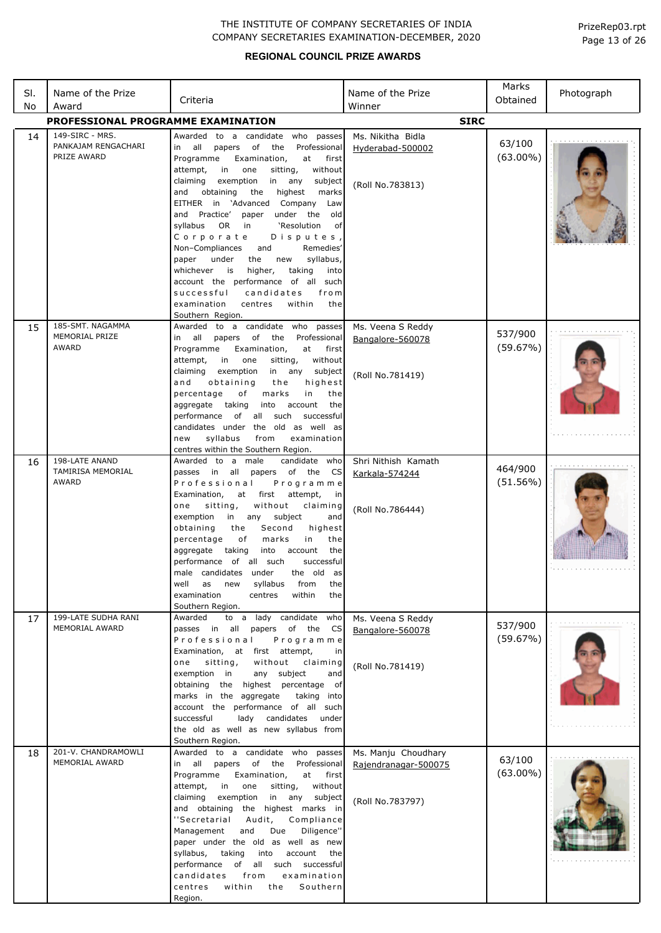## **REGIONAL COUNCIL PRIZE AWARDS**

Page 13 of 26 PrizeRep03.rpt

| SI.<br>No | Name of the Prize<br>Award                            | Criteria                                                                                                                                                                                                                                                                                                                                                                                                                                                                                                                                                                                                                                                                                                       | Name of the Prize<br>Winner                                     | Marks<br>Obtained      | Photograph |
|-----------|-------------------------------------------------------|----------------------------------------------------------------------------------------------------------------------------------------------------------------------------------------------------------------------------------------------------------------------------------------------------------------------------------------------------------------------------------------------------------------------------------------------------------------------------------------------------------------------------------------------------------------------------------------------------------------------------------------------------------------------------------------------------------------|-----------------------------------------------------------------|------------------------|------------|
|           | <b>PROFESSIONAL PROGRAMME EXAMINATION</b>             |                                                                                                                                                                                                                                                                                                                                                                                                                                                                                                                                                                                                                                                                                                                | <b>SIRC</b>                                                     |                        |            |
| 14        | 149-SIRC - MRS.<br>PANKAJAM RENGACHARI<br>PRIZE AWARD | Awarded to a candidate who passes<br>in all<br>of<br>the<br>Professional<br>papers<br>Programme<br>Examination,<br>at<br>first<br>in<br>attempt,<br>one<br>sitting,<br>without<br>exemption<br>claiming<br>in<br>any<br>subject<br>the<br>and<br>obtaining<br>highest<br>marks<br>EITHER in 'Advanced Company<br>Law<br>and Practice'<br>paper under the<br>old<br>syllabus OR<br>in<br>'Resolution<br>of<br>Corporate<br>Disputes,<br>Non-Compliances<br>Remedies'<br>and<br>syllabus,<br>paper<br>under<br>the<br>new<br>whichever is<br>higher,<br>taking<br>into<br>account the performance of all such<br>successful<br>candidates<br>from<br>examination<br>within<br>centres<br>the<br>Southern Region. | Ms. Nikitha Bidla<br>Hyderabad-500002<br>(Roll No.783813)       | 63/100<br>$(63.00\%)$  |            |
| 15        | 185-SMT. NAGAMMA<br>MEMORIAL PRIZE<br>AWARD           | Awarded to a candidate who passes<br>papers of the<br>Professional<br>all<br>in<br>Programme<br>Examination,<br>at<br>first<br>sitting,<br>attempt,<br>in<br>one<br>without<br>claiming<br>exemption<br>in any<br>subject<br>obtaining<br>and<br>the<br>highest<br>percentage<br>marks<br>in<br>of<br>the<br>aggregate taking<br>into<br>account<br>the<br>of all such<br>successful<br>performance<br>candidates under the old as well as<br>syllabus<br>from<br>examination<br>new<br>centres within the Southern Region.                                                                                                                                                                                    | Ms. Veena S Reddy<br>Bangalore-560078<br>(Roll No.781419)       | 537/900<br>(59.67%)    |            |
| 16        | 198-LATE ANAND<br><b>TAMIRISA MEMORIAL</b><br>AWARD   | Awarded to a male<br>candidate who<br>papers of the CS<br>passes in all<br>Professional<br>Programme<br>Examination,<br>at first<br>attempt,<br>in<br>without<br>sitting,<br>claiming<br>one<br>exemption<br>in any<br>subject<br>and<br>Second<br>obtaining<br>the<br>highest<br>оf<br>in<br>percentage<br>marks<br>the<br>aggregate taking<br>into<br>account<br>the<br>performance of all such<br>successful<br>male candidates under<br>the old as<br>well<br>as<br>new<br>syllabus<br>from<br>the<br>examination<br>centres<br>within<br>the<br>Southern Region.                                                                                                                                          | Shri Nithish Kamath<br>Karkala-574244<br>(Roll No.786444)       | 464/900<br>$(51.56\%)$ |            |
| 17        | 199-LATE SUDHA RANI<br>MEMORIAL AWARD                 | to a lady candidate<br>Awarded<br>who<br>passes in all<br>papers of the<br>CS<br>Professional<br>Programme<br>Examination, at first attempt,<br>in<br>without<br>one<br>sitting,<br>claiming<br>any subject<br>exemption in<br>and<br>obtaining<br>the highest percentage of<br>marks in the aggregate<br>taking into<br>account the performance of all such<br>successful<br>lady candidates<br>under<br>the old as well as new syllabus from<br>Southern Region.                                                                                                                                                                                                                                             | Ms. Veena S Reddy<br>Bangalore-560078<br>(Roll No.781419)       | 537/900<br>(59.67%)    |            |
| 18        | 201-V. CHANDRAMOWLI<br>MEMORIAL AWARD                 | Awarded to a candidate who passes<br>papers of the<br>Professional<br>in all<br>Programme<br>at<br>Examination,<br>first<br>in<br>without<br>attempt,<br>one<br>sitting,<br>exemption<br>in<br>any subject<br>claiming<br>and obtaining the highest marks in<br>"Secretarial<br>Audit,<br>Compliance<br>Management<br>and<br>Due<br>Diligence"<br>paper under the old as well as new<br>account<br>syllabus,<br>taking<br>into<br>the<br>performance of all such successful<br>candidates<br>from<br>examination<br>within<br>Southern<br>centres<br>the<br>Region.                                                                                                                                            | Ms. Manju Choudhary<br>Rajendranagar-500075<br>(Roll No.783797) | 63/100<br>$(63.00\%)$  |            |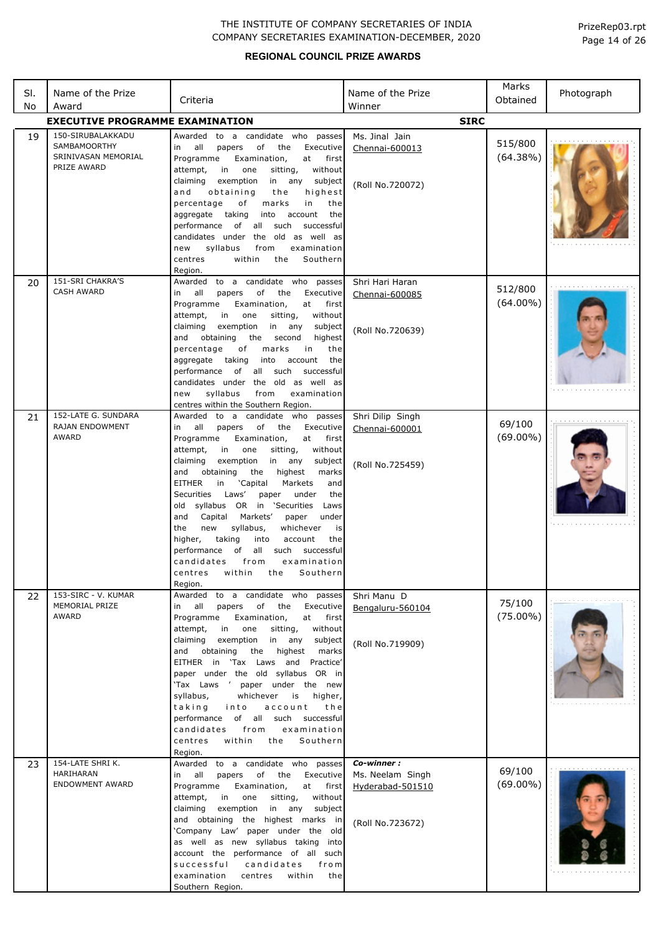| PrizeRep03.rpt |  |  |
|----------------|--|--|
| Page 14 of 26  |  |  |

| SI.<br>No | Name of the Prize<br>Award                                                     | Criteria                                                                                                                                                                                                                                                                                                                                                                                                                                                                                                                                                                                                                                                                                             | Name of the Prize<br>Winner                                            | Marks<br>Obtained      | Photograph |
|-----------|--------------------------------------------------------------------------------|------------------------------------------------------------------------------------------------------------------------------------------------------------------------------------------------------------------------------------------------------------------------------------------------------------------------------------------------------------------------------------------------------------------------------------------------------------------------------------------------------------------------------------------------------------------------------------------------------------------------------------------------------------------------------------------------------|------------------------------------------------------------------------|------------------------|------------|
|           | <b>EXECUTIVE PROGRAMME EXAMINATION</b>                                         |                                                                                                                                                                                                                                                                                                                                                                                                                                                                                                                                                                                                                                                                                                      | <b>SIRC</b>                                                            |                        |            |
| 19        | 150-SIRUBALAKKADU<br><b>SAMBAMOORTHY</b><br>SRINIVASAN MEMORIAL<br>PRIZE AWARD | Awarded to a candidate who passes<br>all<br>of<br>Executive<br>in<br>papers<br>the<br>Programme<br>first<br>Examination,<br>at<br>without<br>attempt,<br>in i<br>one<br>sitting,<br>claiming<br>exemption<br>in any<br>subject<br>and<br>obtaining<br>the<br>highest<br>percentage<br>of<br>marks<br>in<br>the<br>aggregate taking<br>into<br>account<br>the<br>performance of all such<br>successful<br>candidates under the old as well as<br>syllabus<br>examination<br>new<br>from<br>Southern<br>centres<br>within<br>the<br>Region.                                                                                                                                                            | Ms. Jinal Jain<br>Chennai-600013<br>(Roll No.720072)                   | 515/800<br>(64.38%)    |            |
| 20        | 151-SRI CHAKRA'S<br><b>CASH AWARD</b>                                          | Awarded<br>to a candidate who passes<br>all<br>of<br>papers<br>the<br>Executive<br>in<br>Examination,<br>Programme<br>at first<br>in<br>attempt,<br>one<br>sitting,<br>without<br>claiming<br>exemption<br>in any<br>subject<br>highest<br>and<br>obtaining the<br>second<br>marks<br>percentage<br>of<br>in<br>the<br>aggregate taking<br>into<br>account<br>the<br>all such<br>successful<br>performance<br>of<br>candidates under the old as well as<br>syllabus<br>examination<br>new<br>from<br>centres within the Southern Region.                                                                                                                                                             | Shri Hari Haran<br>Chennai-600085<br>(Roll No.720639)                  | 512/800<br>$(64.00\%)$ |            |
| 21        | 152-LATE G. SUNDARA<br>RAJAN ENDOWMENT<br>AWARD                                | Awarded to a candidate who passes<br>all<br>of<br>papers<br>the<br>Executive<br>in<br>Programme<br>Examination,<br>at first<br>attempt,<br>in<br>one<br>sitting,<br>without<br>exemption<br>claiming<br>in<br>any<br>subject<br>marks<br>and<br>obtaining<br>the<br>highest<br>EITHER<br>'Capital<br>Markets<br>in<br>and<br>Securities Laws'<br>paper<br>under<br>the<br>old syllabus OR in 'Securities<br>Laws<br>Capital<br>Markets'<br>and<br>paper<br>under<br>the<br>whichever<br>new<br>syllabus,<br>is<br>higher,<br>taking<br>into<br>account<br>the<br>performance<br>of<br>all such<br>successful<br>candidates<br>from<br>examination<br>within<br>the<br>Southern<br>centres<br>Region. | Shri Dilip Singh<br>Chennai-600001<br>(Roll No.725459)                 | 69/100<br>$(69.00\%)$  |            |
| 22        | 153-SIRC - V. KUMAR<br>MEMORIAL PRIZE<br>AWARD                                 | to a candidate who passes<br>Awarded<br>in all<br>of<br>the<br>Executive<br>papers<br>Programme<br>Examination,<br>at first<br>attempt,<br>in<br>one<br>sitting,<br>without<br>exemption<br>claiming<br>in<br>any<br>subject<br>obtaining<br>the<br>highest<br>and<br>marks<br>EITHER in 'Tax Laws and Practice'<br>paper under the old syllabus OR in<br>'Tax Laws ' paper under the new<br>syllabus,<br>whichever<br>is<br>higher,<br>taking<br>into<br>account<br>the<br>of all such successful<br>performance<br>examination<br>candidates<br>from<br>within<br>centres<br>the<br>Southern<br>Region.                                                                                            | Shri Manu D<br>Bengaluru-560104<br>(Roll No.719909)                    | 75/100<br>$(75.00\%)$  |            |
| 23        | 154-LATE SHRI K.<br>HARIHARAN<br><b>ENDOWMENT AWARD</b>                        | to a candidate who passes<br>Awarded<br>in all<br>of<br>papers<br>the<br>Executive<br>Programme<br>Examination,<br>at first<br>without<br>attempt,<br>in<br>one<br>sitting,<br>claiming<br>exemption<br>in any<br>subject<br>and obtaining the highest marks in<br>'Company Law' paper under the old<br>as well as new syllabus taking into<br>account the performance of all such<br>successful<br>candidates<br>from<br>examination<br>centres<br>within<br>the<br>Southern Region.                                                                                                                                                                                                                | Co-winner:<br>Ms. Neelam Singh<br>Hyderabad-501510<br>(Roll No.723672) | 69/100<br>$(69.00\%)$  |            |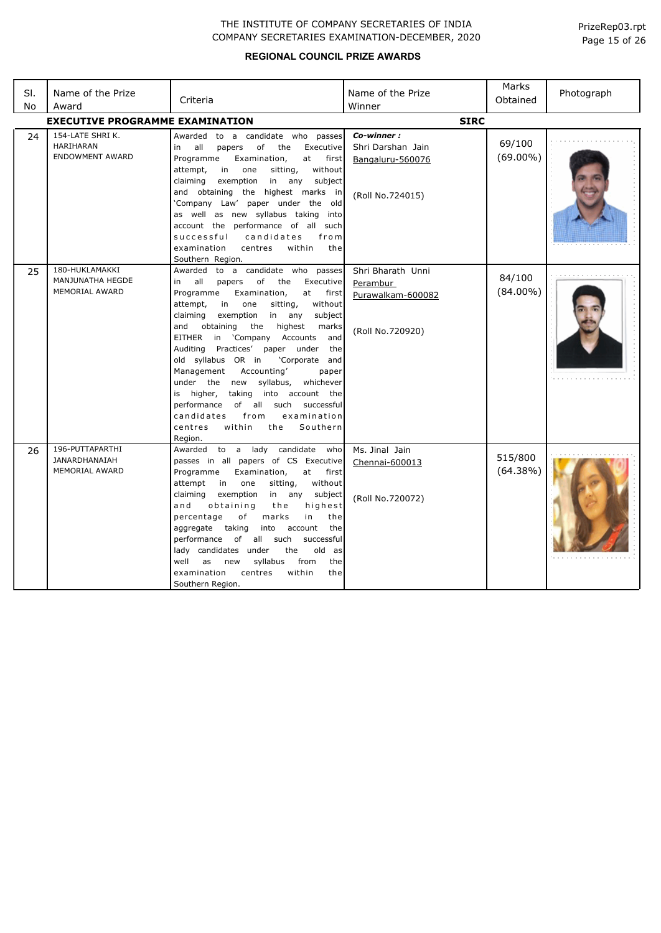| SI.<br>No | Name of the Prize<br>Award                                     | Criteria                                                                                                                                                                                                                                                                                                                                                                                                                                                                                                                                                                                                                                                          | Name of the Prize<br>Winner                                             | Marks<br>Obtained      | Photograph |
|-----------|----------------------------------------------------------------|-------------------------------------------------------------------------------------------------------------------------------------------------------------------------------------------------------------------------------------------------------------------------------------------------------------------------------------------------------------------------------------------------------------------------------------------------------------------------------------------------------------------------------------------------------------------------------------------------------------------------------------------------------------------|-------------------------------------------------------------------------|------------------------|------------|
|           | <b>EXECUTIVE PROGRAMME EXAMINATION</b>                         |                                                                                                                                                                                                                                                                                                                                                                                                                                                                                                                                                                                                                                                                   | <b>SIRC</b>                                                             |                        |            |
| 24        | 154-LATE SHRI K.<br><b>HARIHARAN</b><br><b>ENDOWMENT AWARD</b> | Awarded to a candidate who passes<br>оf<br>all<br>the<br>Executive<br>papers<br>in<br>Programme<br>Examination,<br>at<br>first<br>attempt,<br>in<br>one<br>sitting,<br>without<br>in any<br>claiming<br>exemption<br>subject<br>and obtaining the highest marks in<br>'Company Law' paper under the old<br>as well as new syllabus taking into<br>account the performance of all such<br>successful<br>candidates<br>from<br>examination<br>centres<br>within<br>the<br>Southern Region.                                                                                                                                                                          | Co-winner:<br>Shri Darshan Jain<br>Bangaluru-560076<br>(Roll No.724015) | 69/100<br>$(69.00\%)$  |            |
| 25        | 180-HUKLAMAKKI<br>MANJUNATHA HEGDE<br><b>MEMORIAL AWARD</b>    | Awarded to a candidate who passes<br>all<br>of<br>the<br>Executive<br>in<br>papers<br>Programme<br>Examination,<br>at first<br>attempt,<br>in<br>one<br>sitting,<br>without<br>claiming<br>exemption<br>in<br>any<br>subject<br>obtaining<br>the<br>highest<br>and<br>marks<br>EITHER<br>in 'Company Accounts<br>and<br>Auditing Practices' paper under<br>the<br>old syllabus OR in<br>'Corporate and<br>Accounting'<br>Management<br>paper<br>under the new syllabus,<br>whichever<br>taking into account the<br>is higher,<br>of all such<br>performance<br>successful<br>examination<br>candidates<br>from<br>within<br>centres<br>the<br>Southern<br>Region. | Shri Bharath Unni<br>Perambur<br>Purawalkam-600082<br>(Roll No.720920)  | 84/100<br>$(84.00\%)$  |            |
| 26        | 196-PUTTAPARTHI<br>JANARDHANAIAH<br><b>MEMORIAL AWARD</b>      | Awarded to a lady candidate who<br>passes in all papers of CS Executive<br>Programme<br>Examination,<br>at<br>first<br>without<br>attempt<br>in<br>one<br>sitting,<br>claiming<br>exemption<br>in any<br>subject<br>obtaining<br>the<br>highest<br>and<br>percentage<br>of<br>marks<br>in<br>the<br>aggregate taking<br>into<br>account<br>the<br>performance of all such<br>successful<br>lady candidates under<br>old as<br>the<br>well<br>syllabus<br>from<br>the<br>as<br>new<br>examination<br>centres<br>within<br>the<br>Southern Region.                                                                                                                  | Ms. Jinal Jain<br>Chennai-600013<br>(Roll No.720072)                    | 515/800<br>$(64.38\%)$ |            |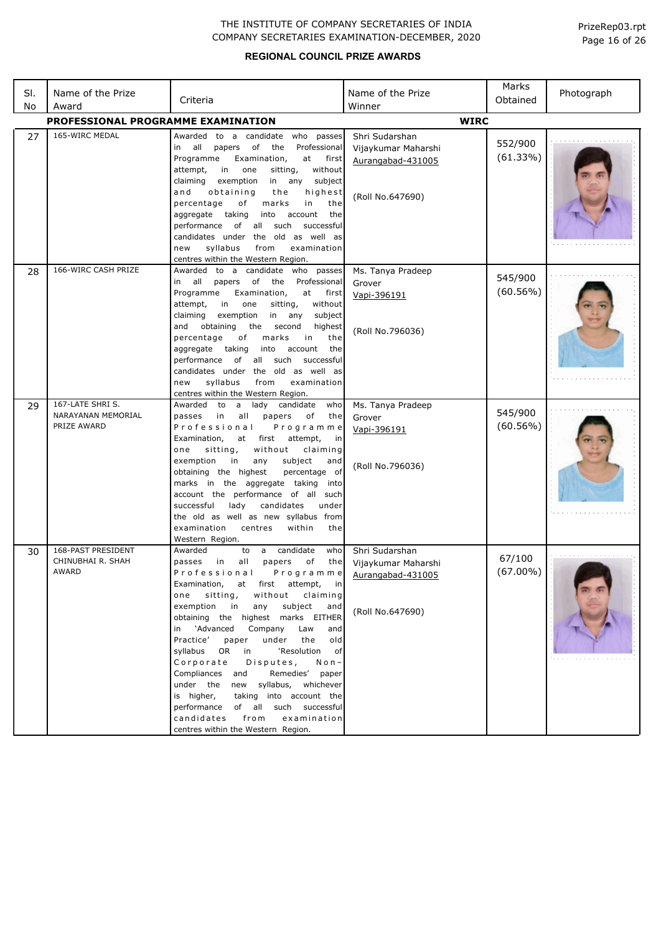| SI.<br>No | Name of the Prize<br>Award                           | Criteria                                                                                                                                                                                                                                                                                                                                                                                                                                                                                                                                                                                                                                                                                            | Name of the Prize<br>Winner                                                    | Marks<br>Obtained      | Photograph |
|-----------|------------------------------------------------------|-----------------------------------------------------------------------------------------------------------------------------------------------------------------------------------------------------------------------------------------------------------------------------------------------------------------------------------------------------------------------------------------------------------------------------------------------------------------------------------------------------------------------------------------------------------------------------------------------------------------------------------------------------------------------------------------------------|--------------------------------------------------------------------------------|------------------------|------------|
|           | PROFESSIONAL PROGRAMME EXAMINATION                   |                                                                                                                                                                                                                                                                                                                                                                                                                                                                                                                                                                                                                                                                                                     | <b>WIRC</b>                                                                    |                        |            |
| 27        | 165-WIRC MEDAL                                       | Awarded to a candidate who passes<br>all papers of<br>the<br>Professional<br>in<br>Programme<br>Examination,<br>at<br>first<br>attempt,<br>sitting,<br>in<br>one<br>without<br>claiming<br>exemption<br>in any subject<br>and<br>obtaining<br>highest<br>the<br>percentage<br>of<br>marks<br>in<br>the<br>aggregate taking<br>into account<br>the<br>performance of<br>all such<br>successful<br>candidates under the old as well as<br>syllabus<br>from<br>examination<br>new<br>centres within the Western Region.                                                                                                                                                                                | Shri Sudarshan<br>Vijaykumar Maharshi<br>Aurangabad-431005<br>(Roll No.647690) | 552/900<br>(61.33%)    |            |
| 28        | 166-WIRC CASH PRIZE                                  | Awarded to a candidate who passes<br>all papers of<br>the Professional<br>in<br>Programme<br>Examination,<br>at first<br>attempt,<br>in<br>one<br>sitting,<br>without<br>claiming<br>exemption<br>in any<br>subject<br>and<br>obtaining<br>the<br>second<br>highest<br>percentage<br>оf<br>marks<br>in<br>the<br>aggregate taking<br>into account<br>the<br>performance of<br>all such<br>successful<br>candidates under the old as well as<br>syllabus<br>examination<br>from<br>new<br>centres within the Western Region.                                                                                                                                                                         | Ms. Tanya Pradeep<br>Grover<br>Vapi-396191<br>(Roll No.796036)                 | 545/900<br>(60.56%)    |            |
| 29        | 167-LATE SHRIS.<br>NARAYANAN MEMORIAL<br>PRIZE AWARD | Awarded to a lady candidate<br>who<br>passes<br>all<br>papers<br>in<br>of<br>the<br>Professional<br>Programme<br>Examination,<br>at<br>first attempt,<br>in<br>sitting,<br>without<br>claiming<br>one<br>subject<br>exemption<br>in<br>any<br>and<br>obtaining the highest<br>percentage of<br>marks in the aggregate taking<br>into<br>account the performance of all such<br>lady<br>candidates<br>successful<br>under<br>the old as well as new syllabus from<br>within<br>examination<br>centres<br>the<br>Western Region.                                                                                                                                                                      | Ms. Tanya Pradeep<br>Grover<br>Vapi-396191<br>(Roll No.796036)                 | 545/900<br>$(60.56\%)$ |            |
| 30        | 168-PAST PRESIDENT<br>CHINUBHAI R. SHAH<br>AWARD     | a candidate<br>Awarded<br>who<br>to<br>passes<br>in<br>all<br>papers<br>of<br>the<br>Professional<br>Programme<br>Examination,<br>at first attempt,<br>ın<br>sitting,<br>claiming<br>one<br>without<br>exemption<br>subject<br>and<br>in<br>any<br>obtaining the highest marks EITHER<br>in 'Advanced<br>Company<br>Law<br>and<br>Practice'<br>under<br>the<br>paper<br>old<br>syllabus OR in<br>'Resolution<br>оf<br>Corporate<br>Disputes,<br>$N$ o n $-$<br>Compliances and<br>Remedies' paper<br>under the<br>new syllabus, whichever<br>taking into account the<br>is higher,<br>performance of all such successful<br>from<br>examination<br>candidates<br>centres within the Western Region. | Shri Sudarshan<br>Vijaykumar Maharshi<br>Aurangabad-431005<br>(Roll No.647690) | 67/100<br>$(67.00\%)$  |            |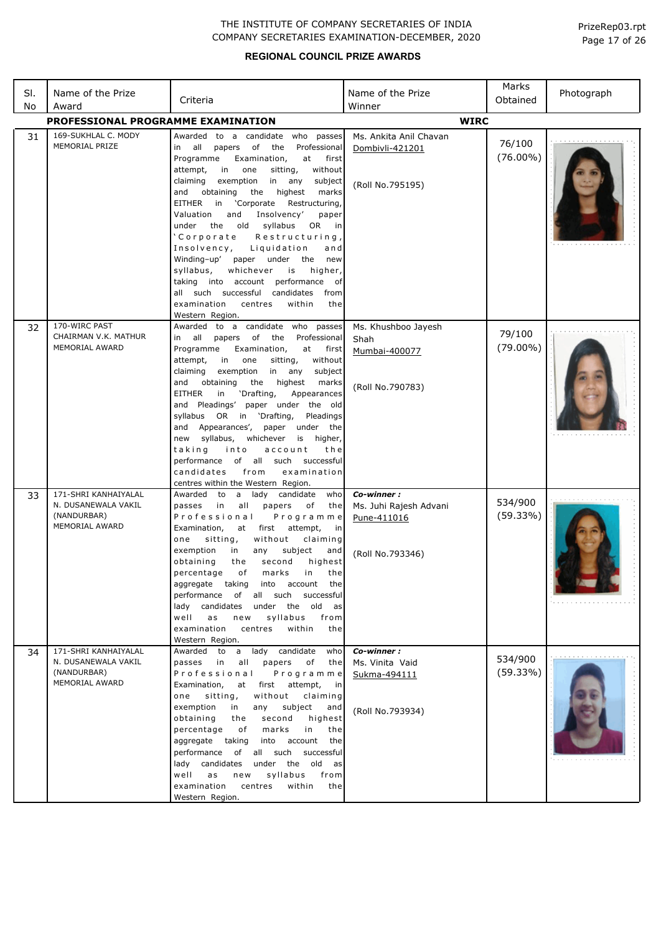| SI. | Name of the Prize                                                            | Criteria                                                                                                                                                                                                                                                                                                                                                                                                                                                                                                                                                                                                                                                                                                                    | Name of the Prize                                                       | Marks<br>Obtained     | Photograph |
|-----|------------------------------------------------------------------------------|-----------------------------------------------------------------------------------------------------------------------------------------------------------------------------------------------------------------------------------------------------------------------------------------------------------------------------------------------------------------------------------------------------------------------------------------------------------------------------------------------------------------------------------------------------------------------------------------------------------------------------------------------------------------------------------------------------------------------------|-------------------------------------------------------------------------|-----------------------|------------|
| No  | Award                                                                        |                                                                                                                                                                                                                                                                                                                                                                                                                                                                                                                                                                                                                                                                                                                             | Winner                                                                  |                       |            |
|     | PROFESSIONAL PROGRAMME EXAMINATION                                           |                                                                                                                                                                                                                                                                                                                                                                                                                                                                                                                                                                                                                                                                                                                             | <b>WIRC</b>                                                             |                       |            |
| 31  | 169-SUKHLAL C. MODY<br>MEMORIAL PRIZE                                        | Awarded to a candidate who<br>passes<br>in all<br>papers of the<br>Professional<br>Examination,<br>Programme<br>at<br>first<br>attempt,<br>in<br>one<br>sitting,<br>without<br>claiming<br>exemption<br>in any<br>subject<br>highest<br>and<br>obtaining<br>the<br>marks<br>EITHER<br>in<br>'Corporate<br>Restructuring,<br>and<br>Insolvency'<br>Valuation<br>paper<br>the old syllabus<br><b>OR</b><br>under<br>in<br>'Corporate<br>Restructuring,<br>Insolvency,<br>Liquidation<br>and<br>Winding-up'<br>paper under the<br>new<br>whichever<br>syllabus,<br>is<br>higher,<br>taking into account performance of<br>all such successful candidates<br>from<br>examination<br>centres<br>within<br>the<br>Western Region. | Ms. Ankita Anil Chavan<br>Dombivli-421201<br>(Roll No.795195)           | 76/100<br>$(76.00\%)$ |            |
| 32  | 170-WIRC PAST<br>CHAIRMAN V.K. MATHUR<br>MEMORIAL AWARD                      | Awarded to a candidate who<br>passes<br>papers of the<br>Professional<br>in all<br>at<br>Programme<br>Examination,<br>first<br>attempt,<br>in<br>one<br>sitting,<br>without<br>claiming<br>exemption<br>in any<br>subject<br>obtaining<br>the<br>highest<br>marks<br>and<br><b>EITHER</b><br>in<br>'Drafting,<br>Appearances<br>and Pleadings' paper under the old<br>syllabus OR in 'Drafting,<br>Pleadings<br>Appearances', paper under the<br>and<br>syllabus,<br>whichever is higher,<br>new<br>taking<br>into<br>account<br>the<br>performance of all such successful<br>candidates<br>examination<br>from<br>centres within the Western Region.                                                                       | Ms. Khushboo Jayesh<br>Shah<br>Mumbai-400077<br>(Roll No.790783)        | 79/100<br>$(79.00\%)$ |            |
| 33  | 171-SHRI KANHAIYALAL<br>N. DUSANEWALA VAKIL<br>(NANDURBAR)<br>MEMORIAL AWARD | Awarded<br>a lady<br>candidate<br>who<br>to<br>all<br>passes<br>in<br>papers<br>of<br>the<br>Professional<br>Programme<br>Examination,<br>attempt,<br>first<br>at<br>in<br>one<br>sitting,<br>without<br>claiming<br>exemption<br>subject<br>in<br>any<br>and<br>obtaining<br>second<br>highest<br>the<br>percentage of marks in the<br>aggregate taking into account<br>the<br>performance of all such successful<br>lady candidates under the old<br>as<br>well<br>syllabus<br>a s<br>new<br>from<br>examination<br>centres<br>within<br>the<br>Western Region.                                                                                                                                                           | Co-winner:<br>Ms. Juhi Rajesh Advani<br>Pune-411016<br>(Roll No.793346) | 534/900<br>(59.33%)   |            |
| 34  | 171-SHRI KANHAIYALAL<br>N. DUSANEWALA VAKIL<br>(NANDURBAR)<br>MEMORIAL AWARD | a lady candidate<br>Awarded to<br>who<br>passes in<br>all<br>papers<br>of<br>the<br>Professional<br>Programme<br>Examination,<br>first attempt,<br>at<br>in in<br>sitting,<br>without<br>claiming<br>one<br>exemption<br>in<br>any<br>subject<br>and<br>obtaining<br>second<br>highest<br>the<br>percentage<br>of<br>marks<br>in<br>the<br>into account<br>aggregate taking<br>the<br>performance of all such successful<br>lady candidates under the old as<br>syllabus<br>well<br>a s<br>new<br>from<br>within<br>examination<br>centres<br>the<br>Western Region.                                                                                                                                                        | Co-winner:<br>Ms. Vinita Vaid<br>Sukma-494111<br>(Roll No.793934)       | 534/900<br>(59.33%)   |            |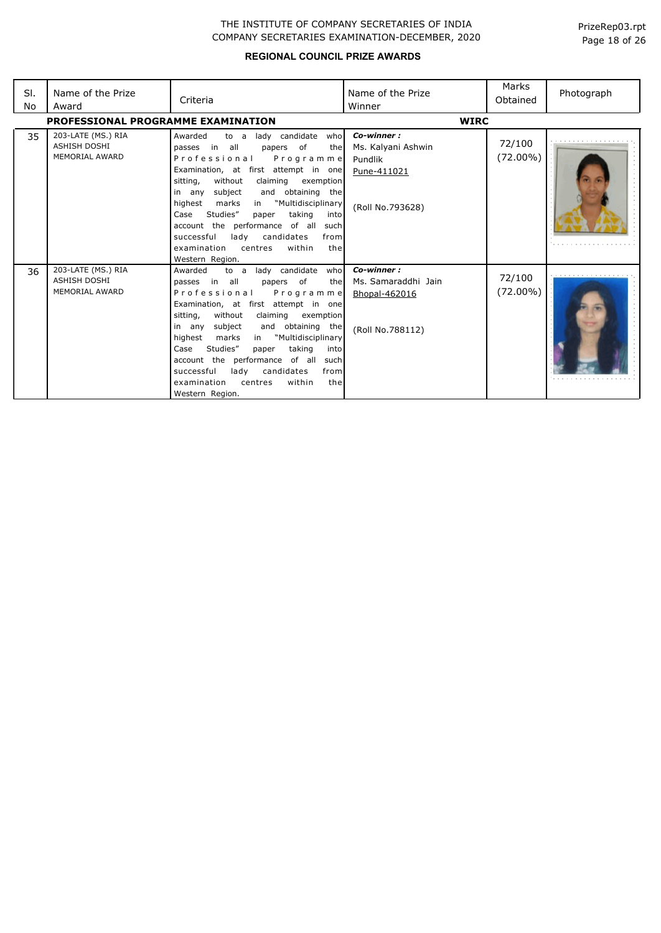| SI.<br>No | Name of the Prize<br>Award                                         | Criteria                                                                                                                                                                                                                                                                                                                                                                                                                                                                                            | Name of the Prize<br>Winner                                                    | Marks<br>Obtained     | Photograph |
|-----------|--------------------------------------------------------------------|-----------------------------------------------------------------------------------------------------------------------------------------------------------------------------------------------------------------------------------------------------------------------------------------------------------------------------------------------------------------------------------------------------------------------------------------------------------------------------------------------------|--------------------------------------------------------------------------------|-----------------------|------------|
|           | PROFESSIONAL PROGRAMME EXAMINATION                                 |                                                                                                                                                                                                                                                                                                                                                                                                                                                                                                     | <b>WIRC</b>                                                                    |                       |            |
| 35        | 203-LATE (MS.) RIA<br><b>ASHISH DOSHI</b><br><b>MEMORIAL AWARD</b> | lady candidate<br>Awarded<br>to a<br>who<br>passes in all<br>papers of<br>the<br>Professional<br>Programme<br>Examination, at first attempt in one<br>without<br>claiming<br>sitting,<br>exemption<br>subject<br>and obtaining the<br>in any<br>"Multidisciplinary<br>highest<br>marks<br>in<br>Studies"<br>taking<br>Case<br>paper<br>into<br>account the performance of all<br>such<br>lady<br>candidates<br>successful<br>from<br>within<br>examination<br>centres<br>the<br>Western Region.     | Co-winner:<br>Ms. Kalyani Ashwin<br>Pundlik<br>Pune-411021<br>(Roll No.793628) | 72/100<br>$(72.00\%)$ |            |
| 36        | 203-LATE (MS.) RIA<br><b>ASHISH DOSHI</b><br><b>MEMORIAL AWARD</b> | lady candidate<br>who<br>Awarded<br>to a<br>passes in all<br>papers of<br>thel<br>Professional<br>Programme<br>Examination, at first attempt in one<br>without<br>claiming<br>sitting,<br>exemption<br>and obtaining the<br>subject<br>in any<br>highest<br>"Multidisciplinary<br>marks<br>in<br>Studies"<br>taking<br>Case<br>paper<br>into<br>account the performance<br>of all<br>such<br>candidates<br>successful<br>lady<br>from<br>within<br>examination<br>centres<br>the<br>Western Region. | Co-winner:<br>Ms. Samaraddhi Jain<br>Bhopal-462016<br>(Roll No.788112)         | 72/100<br>$(72.00\%)$ |            |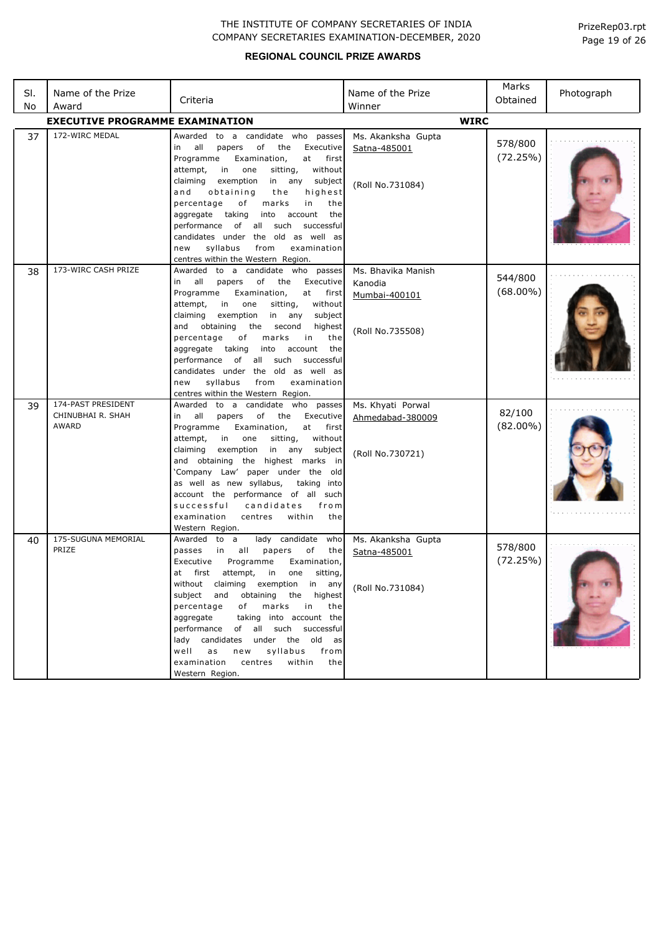| SI.<br>No | Name of the Prize<br>Award                       | Criteria                                                                                                                                                                                                                                                                                                                                                                                                                                                                                                                          | Name of the Prize<br>Winner                                        | Marks<br>Obtained      | Photograph |
|-----------|--------------------------------------------------|-----------------------------------------------------------------------------------------------------------------------------------------------------------------------------------------------------------------------------------------------------------------------------------------------------------------------------------------------------------------------------------------------------------------------------------------------------------------------------------------------------------------------------------|--------------------------------------------------------------------|------------------------|------------|
|           | <b>EXECUTIVE PROGRAMME EXAMINATION</b>           |                                                                                                                                                                                                                                                                                                                                                                                                                                                                                                                                   | <b>WIRC</b>                                                        |                        |            |
| 37        | 172-WIRC MEDAL                                   | Awarded to a candidate who passes<br>of<br>all<br>papers<br>the<br>Executive<br>in<br>Programme<br>Examination,<br>at<br>first<br>in<br>attempt,<br>one<br>sitting,<br>without<br>claiming<br>exemption<br>in any<br>subject<br>and<br>obtaining<br>the<br>highest<br>percentage<br>of<br>marks<br>in<br>the<br>aggregate taking<br>into<br>account<br>the<br>performance of all such<br>successful<br>candidates under the old as well as<br>syllabus<br>examination<br>new<br>from<br>centres within the Western Region.        | Ms. Akanksha Gupta<br>Satna-485001<br>(Roll No.731084)             | 578/800<br>(72.25%)    |            |
| 38        | 173-WIRC CASH PRIZE                              | Awarded to a candidate who passes<br>of<br>all<br>papers<br>the<br>Executive<br>in<br>Examination,<br>Programme<br>at<br>first<br>in one<br>attempt,<br>sitting,<br>without<br>claiming<br>exemption<br>in<br>any<br>subject<br>and obtaining<br>the<br>second<br>highest<br>percentage<br>marks<br>of<br>in<br>the<br>aggregate taking<br>into<br>account<br>the<br>performance of all such<br>successful<br>candidates under the old as well as<br>syllabus<br>examination<br>new<br>from<br>centres within the Western Region. | Ms. Bhavika Manish<br>Kanodia<br>Mumbai-400101<br>(Roll No.735508) | 544/800<br>$(68.00\%)$ |            |
| 39        | 174-PAST PRESIDENT<br>CHINUBHAI R. SHAH<br>AWARD | Awarded to a candidate who passes<br>of the<br>all<br>papers<br>Executive<br>in<br>Examination,<br>at<br>Programme<br>first<br>without<br>attempt,<br>in<br>one<br>sitting,<br>claiming<br>exemption<br>in any<br>subject<br>and obtaining the highest marks in<br>'Company Law' paper under the old<br>as well as new syllabus,<br>taking into<br>account the performance of all such<br>successful<br>candidates<br>from<br>centres<br>within<br>examination<br>the<br>Western Region.                                          | Ms. Khyati Porwal<br>Ahmedabad-380009<br>(Roll No.730721)          | 82/100<br>$(82.00\%)$  |            |
| 40        | 175-SUGUNA MEMORIAL<br>PRIZE                     | lady candidate who<br>Awarded to a<br>all<br>papers<br>of<br>passes<br>in<br>the<br>Executive<br>Programme<br>Examination,<br>at first attempt,<br>sitting,<br>in<br>one<br>without claiming exemption in any<br>subject and obtaining the highest<br>of marks in<br>percentage<br>the<br>taking into account the<br>aggregate<br>performance of all such successful<br>lady candidates under the old as<br>syllabus from<br>well as<br>new<br>within<br>examination<br>centres<br>the<br>Western Region.                         | Ms. Akanksha Gupta<br>Satna-485001<br>(Roll No.731084)             | 578/800<br>(72.25%)    |            |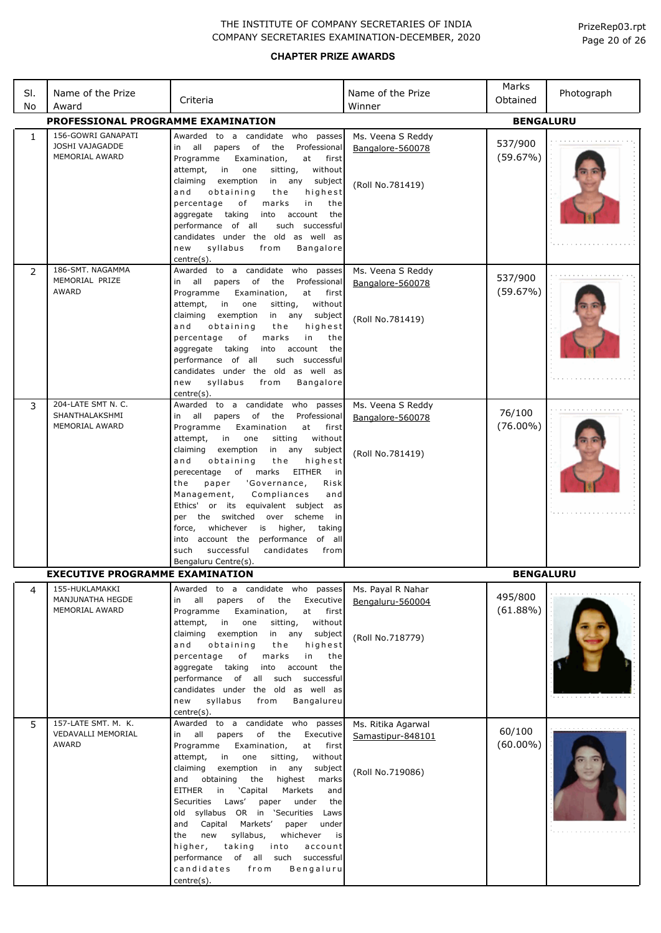| SI. | Name of the Prize                                        | Criteria                                                                                                                                                                                                                                                                                                                                                                                                                                                                                                                                                                                                                                                            | Name of the Prize                                           | Marks<br>Obtained      | Photograph |
|-----|----------------------------------------------------------|---------------------------------------------------------------------------------------------------------------------------------------------------------------------------------------------------------------------------------------------------------------------------------------------------------------------------------------------------------------------------------------------------------------------------------------------------------------------------------------------------------------------------------------------------------------------------------------------------------------------------------------------------------------------|-------------------------------------------------------------|------------------------|------------|
| No  | Award                                                    |                                                                                                                                                                                                                                                                                                                                                                                                                                                                                                                                                                                                                                                                     | Winner                                                      |                        |            |
|     | PROFESSIONAL PROGRAMME EXAMINATION<br>156-GOWRI GANAPATI | Awarded to a candidate who passes                                                                                                                                                                                                                                                                                                                                                                                                                                                                                                                                                                                                                                   |                                                             | <b>BENGALURU</b>       |            |
| 1   | JOSHI VAJAGADDE<br>MEMORIAL AWARD                        | papers of<br>the<br>Professional<br>in all<br>Programme<br>Examination,<br>at<br>first<br>in<br>without<br>attempt,<br>one<br>sitting,<br>subject<br>claiming<br>exemption<br>in any<br>obtaining<br>highest<br>and<br>the                                                                                                                                                                                                                                                                                                                                                                                                                                          | Ms. Veena S Reddy<br>Bangalore-560078<br>(Roll No.781419)   | 537/900<br>(59.67%)    |            |
|     |                                                          | percentage<br>of<br>in<br>marks<br>the<br>account<br>aggregate<br>taking<br>into<br>the<br>performance of all<br>such successful<br>candidates under the old as well as<br>syllabus<br>from<br>Bangalore<br>new<br>centre(s).                                                                                                                                                                                                                                                                                                                                                                                                                                       |                                                             |                        |            |
| 2   | 186-SMT, NAGAMMA<br>MEMORIAL PRIZE<br>AWARD              | Awarded to a candidate who passes<br>in all<br>of<br>the<br>Professional<br>papers<br>Programme<br>Examination,<br>at<br>first<br>without<br>attempt,<br>in<br>one<br>sitting,<br>subject<br>claiming<br>exemption<br>in any<br>highest<br>and<br>obtaining<br>the<br>percentage<br>of<br>marks<br>in<br>the<br>taking<br>account<br>aggregate<br>into<br>the<br>performance of all<br>such successful<br>candidates under the old as well as<br>syllabus<br><b>Bangalore</b><br>new<br>from<br>centre(s).                                                                                                                                                          | Ms. Veena S Reddy<br>Bangalore-560078<br>(Roll No.781419)   | 537/900<br>(59.67%)    |            |
| 3   | 204-LATE SMT N. C.<br>SHANTHALAKSHMI<br>MEMORIAL AWARD   | Awarded to a candidate who<br>passes<br>of<br>all<br>papers<br>the<br>Professional<br>in<br>Programme<br>Examination<br>at<br>first<br>attempt,<br>sitting<br>without<br>in<br>one<br>claiming<br>exemption<br>in any subject<br>and<br>obtaining<br>the<br>highest<br>of marks<br>perecentage<br>EITHER<br>in<br>paper<br>'Governance,<br>the<br>Risk<br>Compliances<br>Management,<br>and<br>Ethics' or its equivalent subject as<br>per the switched<br>over scheme<br>in<br>whichever<br>is higher,<br>force,<br>taking<br>performance<br>of all<br>into account the<br>candidates<br>such<br>successful<br>from<br>Bengaluru Centre(s).                        | Ms. Veena S Reddy<br>Bangalore-560078<br>(Roll No.781419)   | 76/100<br>$(76.00\%)$  |            |
|     | EXECUTIVE PROGRAMME EXAMINATION                          |                                                                                                                                                                                                                                                                                                                                                                                                                                                                                                                                                                                                                                                                     |                                                             | <b>BENGALURU</b>       |            |
| 4   | 155-HUKLAMAKKI<br>MANJUNATHA HEGDE<br>MEMORIAL AWARD     | to a candidate who passes<br>Awarded<br>all<br>papers<br>of<br>the<br>Executive<br>in<br>Programme<br>Examination,<br>at<br>first<br>in<br>one<br>without<br>attempt,<br>sitting,<br>exemption<br>subject<br>claiming<br>in any<br>obtaining<br>highest<br>and<br>the<br>percentage<br>in<br>the<br>of<br>marks<br>aggregate<br>taking<br>account<br>the<br>into<br>all<br>such<br>successful<br>performance of<br>candidates under the old as well as<br>syllabus<br>new<br>from<br>Bangalureu<br>centre(s).                                                                                                                                                       | Ms. Payal R Nahar<br>Bengaluru-560004<br>(Roll No.718779)   | 495/800<br>$(61.88\%)$ |            |
| 5   | 157-LATE SMT. M. K.<br>VEDAVALLI MEMORIAL<br>AWARD       | Awarded to a candidate who passes<br>all<br>of the<br>Executive<br>in<br>papers<br>Programme<br>Examination,<br>at<br>first<br>in<br>sitting,<br>without<br>attempt,<br>one<br>exemption<br>in<br>any<br>subject<br>claiming<br>highest<br>and<br>obtaining<br>the<br>marks<br><b>EITHER</b><br>'Capital<br>Markets<br>and<br>in<br>Laws'<br>Securities<br>under<br>the<br>paper<br>old syllabus OR in 'Securities<br>Laws<br>and<br>Capital<br>Markets'<br>under<br>paper<br>syllabus,<br>the<br>new<br>whichever<br>is<br>taking<br>into<br>account<br>higher,<br>performance<br>of<br>all<br>such<br>successful<br>candidates<br>from<br>Bengaluru<br>centre(s). | Ms. Ritika Agarwal<br>Samastipur-848101<br>(Roll No.719086) | 60/100<br>$(60.00\%)$  |            |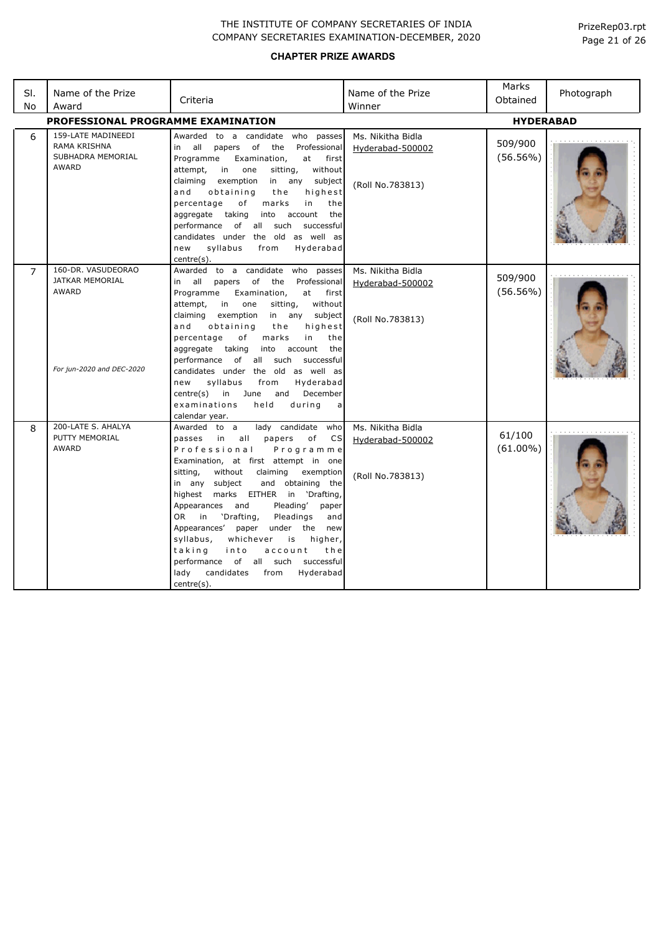| SI.<br>No      | Name of the Prize<br>Award                                                                | Criteria                                                                                                                                                                                                                                                                                                                                                                                                                                                                                                                                                                                   | Name of the Prize<br>Winner                               | Marks<br>Obtained      | Photograph |
|----------------|-------------------------------------------------------------------------------------------|--------------------------------------------------------------------------------------------------------------------------------------------------------------------------------------------------------------------------------------------------------------------------------------------------------------------------------------------------------------------------------------------------------------------------------------------------------------------------------------------------------------------------------------------------------------------------------------------|-----------------------------------------------------------|------------------------|------------|
|                | <b>PROFESSIONAL PROGRAMME EXAMINATION</b>                                                 |                                                                                                                                                                                                                                                                                                                                                                                                                                                                                                                                                                                            |                                                           | <b>HYDERABAD</b>       |            |
| 6              | 159-LATE MADINEEDI<br><b>RAMA KRISHNA</b><br>SUBHADRA MEMORIAL<br><b>AWARD</b>            | Awarded to a candidate who passes<br>of<br>in all<br>papers<br>the<br>Professional<br>Programme<br>Examination,<br>first<br>at<br>without<br>attempt,<br>in<br>one<br>sitting,<br>claiming<br>exemption<br>in any<br>subject<br>highest<br>and<br>obtaining<br>the<br>percentage<br>of<br>marks<br>in<br>the<br>the<br>aggregate taking<br>account<br>into<br>performance of all such<br>successful<br>candidates under the old as well as<br>syllabus<br>Hyderabad<br>new<br>from<br>centre(s).                                                                                           | Ms. Nikitha Bidla<br>Hyderabad-500002<br>(Roll No.783813) | 509/900<br>$(56.56\%)$ |            |
| $\overline{7}$ | 160-DR. VASUDEORAO<br><b>JATKAR MEMORIAL</b><br><b>AWARD</b><br>For jun-2020 and DEC-2020 | Awarded to a candidate who<br>passes<br>in all papers of<br>the<br>Professional<br>at<br>Programme<br>Examination,<br>first<br>attempt,<br>in<br>one<br>sitting,<br>without<br>claiming<br>exemption<br>in any subject<br>and<br>highest<br>obtaining<br>the<br>in<br>percentage<br>of<br>marks<br>the<br>aggregate taking<br>account<br>into<br>the<br>performance of all such<br>successful<br>candidates under the old as well as<br>syllabus<br>Hyderabad<br>new<br>from<br>December<br>centre(s)<br>in<br>and<br>June<br>examinations<br>held<br>during<br>a<br>calendar year.        | Ms. Nikitha Bidla<br>Hyderabad-500002<br>(Roll No.783813) | 509/900<br>$(56.56\%)$ |            |
| 8              | 200-LATE S. AHALYA<br>PUTTY MEMORIAL<br><b>AWARD</b>                                      | lady candidate who<br>Awarded to a<br>all<br>passes in<br>papers<br>of<br>CS<br>Professional<br>Programme<br>Examination, at first attempt in one<br>without<br>sitting,<br>claiming<br>exemption<br>and obtaining the<br>in any subject<br>highest marks EITHER in 'Drafting,<br>Appearances and<br>Pleading'<br>paper<br>'Drafting,<br>Pleadings<br>OR<br>in<br>and<br>Appearances'<br>paper under the new<br>syllabus,<br>whichever<br>is<br>higher,<br>taking<br>into<br>account<br>the<br>performance of all such successful<br>lady<br>candidates<br>Hyderabad<br>from<br>centre(s). | Ms. Nikitha Bidla<br>Hyderabad-500002<br>(Roll No.783813) | 61/100<br>$(61.00\%)$  |            |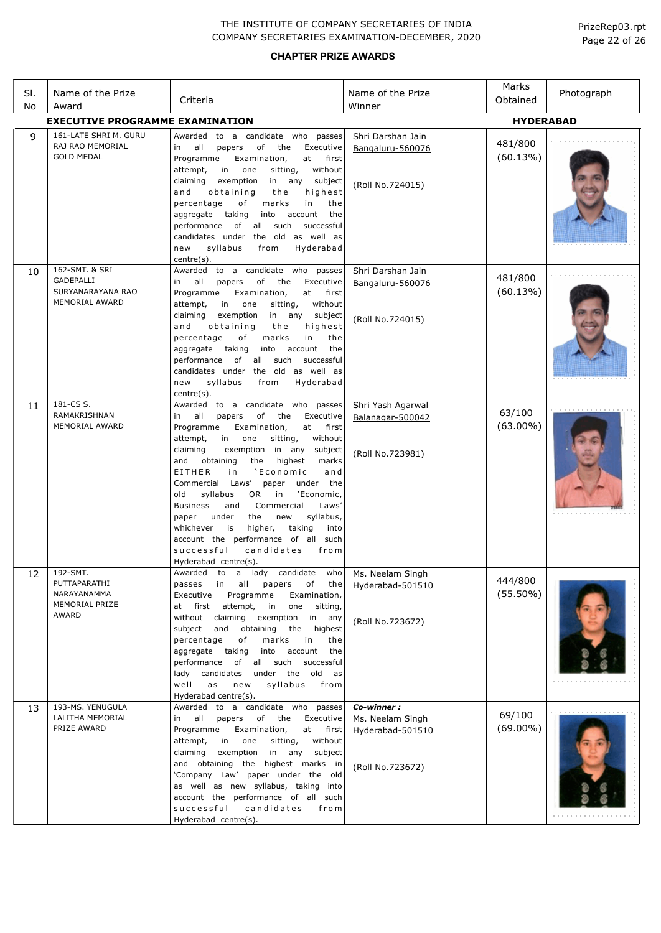| SI.<br>No       | Name of the Prize<br>Award                                                | Criteria                                                                                                                                                                                                                                                                                                                                                                                                                                                                                                                                                                                                                                               | Name of the Prize<br>Winner                                            | Marks<br>Obtained      | Photograph |  |
|-----------------|---------------------------------------------------------------------------|--------------------------------------------------------------------------------------------------------------------------------------------------------------------------------------------------------------------------------------------------------------------------------------------------------------------------------------------------------------------------------------------------------------------------------------------------------------------------------------------------------------------------------------------------------------------------------------------------------------------------------------------------------|------------------------------------------------------------------------|------------------------|------------|--|
|                 | <b>EXECUTIVE PROGRAMME EXAMINATION</b><br><b>HYDERABAD</b>                |                                                                                                                                                                                                                                                                                                                                                                                                                                                                                                                                                                                                                                                        |                                                                        |                        |            |  |
| $\mathsf{q}$    | 161-LATE SHRI M. GURU<br>RAJ RAO MEMORIAL<br><b>GOLD MEDAL</b>            | to a candidate who passes<br>Awarded<br>all<br>of<br>in<br>papers<br>the<br>Executive<br>Examination,<br>at<br>first<br>Programme<br>in<br>one<br>without<br>attempt,<br>sitting,<br>subject<br>claiming<br>exemption<br>in any<br>obtaining<br>highest<br>and<br>the<br>percentage<br>оf<br>in<br>marks<br>the<br>aggregate taking<br>into<br>account<br>the<br>performance<br>of all such<br>successful<br>candidates under the old as well as<br>syllabus<br>Hyderabad<br>new<br>from<br>centre(s).                                                                                                                                                 | Shri Darshan Jain<br>Bangaluru-560076<br>(Roll No.724015)              | 481/800<br>(60.13%)    |            |  |
| 10              | 162-SMT. & SRI<br>GADEPALLI<br>SURYANARAYANA RAO<br>MEMORIAL AWARD        | Awarded to a candidate who passes<br>all<br>of<br>Executive<br>papers<br>the<br>in<br>Programme<br>Examination,<br>at<br>first<br>without<br>attempt,<br>in<br>one<br>sitting,<br>claiming<br>exemption<br>in any<br>subject<br>obtaining<br>and<br>the<br>highest<br>percentage<br>of<br>in<br>marks<br>the<br>taking<br>account<br>the<br>aggregate<br>into<br>of all such<br>successful<br>performance<br>candidates under the old as well as<br>syllabus<br>Hyderabad<br>new<br>from<br>centre(s).                                                                                                                                                 | Shri Darshan Jain<br>Bangaluru-560076<br>(Roll No.724015)              | 481/800<br>(60.13%)    |            |  |
| 11              | 181-CS S.<br>RAMAKRISHNAN<br>MEMORIAL AWARD                               | Awarded to a candidate who passes<br>of<br>all<br>papers<br>the<br>Executive<br>in<br>Programme<br>Examination,<br>at<br>first<br>attempt,<br>without<br>in<br>one<br>sitting,<br>claiming<br>exemption in any<br>subject<br>highest<br>and<br>obtaining<br>the<br>marks<br>EITHER<br>'Economic<br>i n<br>and<br>Commercial Laws'<br>under the<br>paper<br>'Economic,<br>old<br>syllabus<br>OR.<br>in<br>Laws'<br><b>Business</b><br>and<br>Commercial<br>syllabus,<br>under<br>the<br>new<br>paper<br>higher,<br>taking<br>whichever<br>is<br>into<br>account the performance of all such<br>successful<br>candidates<br>from<br>Hyderabad centre(s). | Shri Yash Agarwal<br>Balanagar-500042<br>(Roll No.723981)              | 63/100<br>$(63.00\%)$  |            |  |
| 12 <sup>2</sup> | 192-SMT.<br>PUTTAPARATHI<br>NARAYANAMMA<br>MEMORIAL PRIZE<br><b>AWARD</b> | Awarded to a lady candidate who<br>passes<br>all<br>of the<br>in in<br>papers<br>Programme<br>Executive<br>Examination,<br>attempt,<br>at first<br>in<br>one<br>sitting,<br>without claiming exemption<br>in any<br>subject and<br>obtaining<br>the<br>highest<br>percentage<br>of<br>marks<br>in<br>the<br>into<br>account<br>the<br>aggregate taking<br>performance of all such successful<br>candidates under the old as<br>lady<br>syllabus<br>well<br>as<br>new<br>from<br>Hyderabad centre(s).                                                                                                                                                   | Ms. Neelam Singh<br>Hyderabad-501510<br>(Roll No.723672)               | 444/800<br>$(55.50\%)$ |            |  |
| 13              | 193-MS. YENUGULA<br>LALITHA MEMORIAL<br>PRIZE AWARD                       | Awarded to a candidate who passes<br>in all<br>of the<br>papers<br>Executive<br>Programme<br>Examination,<br>at<br>first<br>without<br>attempt,<br>in<br>one<br>sitting,<br>in any subject<br>claiming<br>exemption<br>and obtaining the highest marks in<br>'Company Law' paper under the old<br>as well as new syllabus, taking into<br>account the performance of all such<br>successful<br>candidates<br>from<br>Hyderabad centre(s).                                                                                                                                                                                                              | Co-winner:<br>Ms. Neelam Singh<br>Hyderabad-501510<br>(Roll No.723672) | 69/100<br>$(69.00\%)$  |            |  |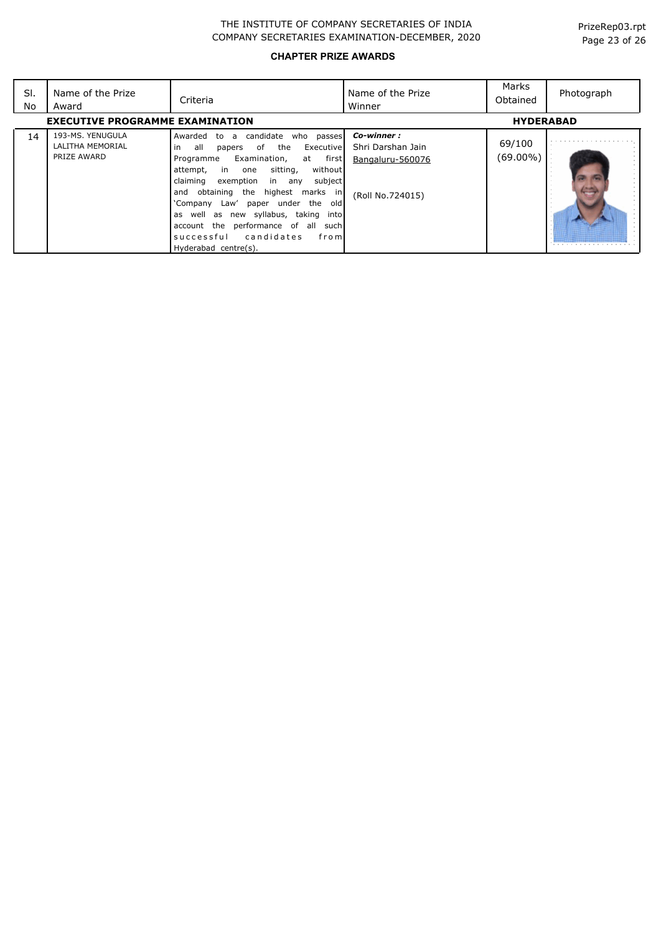| SI.<br>No                              | Name of the Prize<br>Award                          | Criteria                                                                                                                                                                                                                                                                                                                                                                                                                                         | Name of the Prize<br>Winner                                             | Marks<br>Obtained  | Photograph |
|----------------------------------------|-----------------------------------------------------|--------------------------------------------------------------------------------------------------------------------------------------------------------------------------------------------------------------------------------------------------------------------------------------------------------------------------------------------------------------------------------------------------------------------------------------------------|-------------------------------------------------------------------------|--------------------|------------|
| <b>EXECUTIVE PROGRAMME EXAMINATION</b> |                                                     |                                                                                                                                                                                                                                                                                                                                                                                                                                                  |                                                                         | <b>HYDERABAD</b>   |            |
| 14                                     | 193-MS, YENUGULA<br>LALITHA MEMORIAL<br>PRIZE AWARD | a candidate<br>Awarded to<br>who passes<br>all<br>of<br>the<br>Executive<br>in<br>papers<br>Examination,<br>at first<br>Programme<br>without<br>sitting,<br>attempt,<br>in<br>one<br>exemption in any<br>subject<br>claiming<br>and obtaining the highest marks in<br>'Company Law' paper under the old<br>as well as new syllabus, taking into<br>account the performance of all such<br>successful candidates<br>froml<br>Hyderabad centre(s). | Co-winner:<br>Shri Darshan Jain<br>Bangaluru-560076<br>(Roll No.724015) | 69/100<br>(69.00%) |            |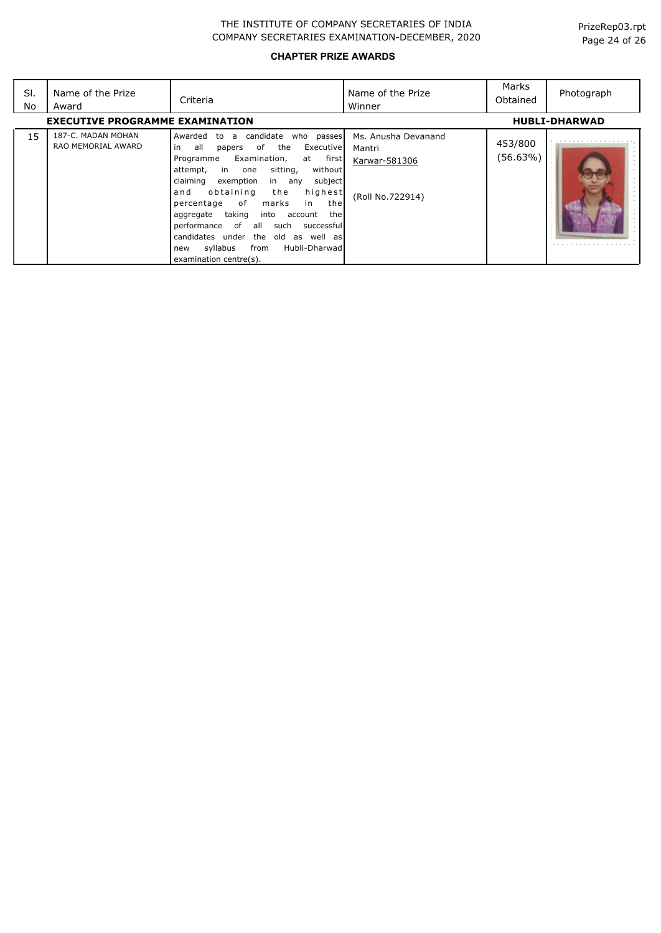| SI.<br>No | Name of the Prize<br>Award               | Criteria                                                                                                                                                                                                                                                                                                                                                                                                                                                                                        | Name of the Prize<br>Winner                                        | Marks<br>Obtained   | Photograph           |
|-----------|------------------------------------------|-------------------------------------------------------------------------------------------------------------------------------------------------------------------------------------------------------------------------------------------------------------------------------------------------------------------------------------------------------------------------------------------------------------------------------------------------------------------------------------------------|--------------------------------------------------------------------|---------------------|----------------------|
|           | <b>EXECUTIVE PROGRAMME EXAMINATION</b>   |                                                                                                                                                                                                                                                                                                                                                                                                                                                                                                 |                                                                    |                     | <b>HUBLI-DHARWAD</b> |
| 15        | 187-C. MADAN MOHAN<br>RAO MEMORIAL AWARD | Awarded to a candidate who passes<br>all<br>of the<br>Executive<br>in<br>papers<br>Examination,<br>at first<br>Programme<br>without<br>attempt,<br>in one<br>sitting,<br>subject<br>exemption<br>claiming<br>in any<br>highest<br>obtaining<br>the<br>and<br>percentage of<br>marks<br>the<br>in<br>aggregate taking<br>into account<br>thel<br>performance of all such successful<br>candidates under the old as well as<br>syllabus<br>from<br>Hubli-Dharwad<br>new<br>examination centre(s). | Ms. Anusha Devanand<br>Mantri<br>Karwar-581306<br>(Roll No.722914) | 453/800<br>(56.63%) |                      |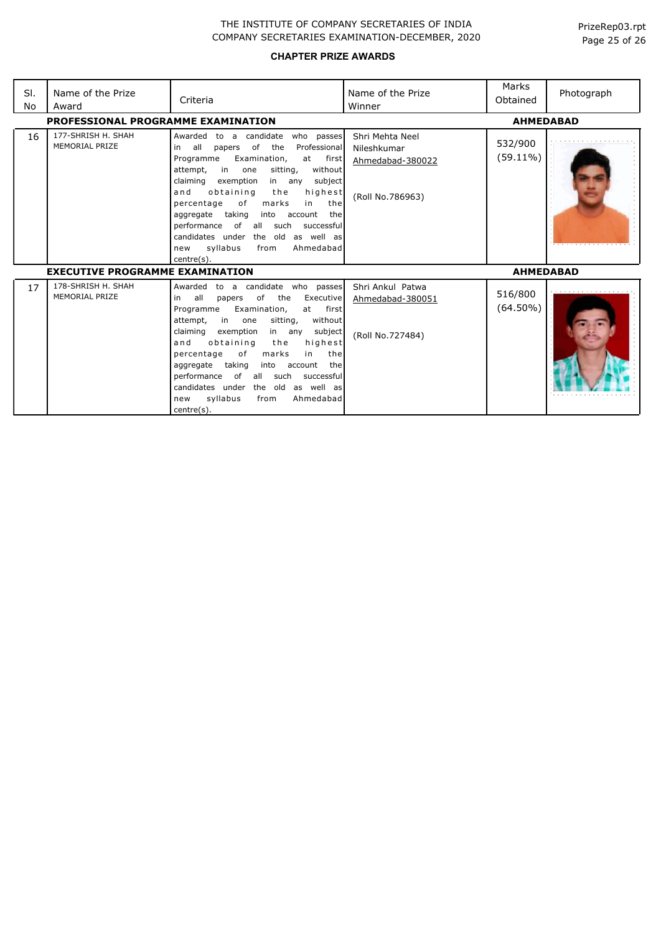| SI.<br>No | Name of the Prize<br>Award                  | Criteria                                                                                                                                                                                                                                                                                                                                                                                                                                                                                               | Name of the Prize<br>Winner                                            | Marks<br>Obtained      | Photograph |
|-----------|---------------------------------------------|--------------------------------------------------------------------------------------------------------------------------------------------------------------------------------------------------------------------------------------------------------------------------------------------------------------------------------------------------------------------------------------------------------------------------------------------------------------------------------------------------------|------------------------------------------------------------------------|------------------------|------------|
|           | PROFESSIONAL PROGRAMME EXAMINATION          |                                                                                                                                                                                                                                                                                                                                                                                                                                                                                                        | <b>AHMEDABAD</b>                                                       |                        |            |
| 16        | 177-SHRISH H. SHAH<br>MEMORIAL PRIZE        | Awarded<br>to a candidate<br>who passes<br>all<br>of the<br>Professional<br>in<br>papers<br>Programme<br>Examination,<br>first<br>at<br>attempt,<br>in<br>sitting,<br>without<br>one<br>claiming exemption<br>subject<br>in any<br>obtaining<br>highest<br>and<br>the<br>of<br>marks<br>in<br>the<br>percentage<br>aggregate<br>taking<br>into<br>account<br>the<br>performance of all such<br>successful<br>candidates under the old as well as<br>syllabus<br>Ahmedabad<br>from<br>new<br>centre(s). | Shri Mehta Neel<br>Nileshkumar<br>Ahmedabad-380022<br>(Roll No.786963) | 532/900<br>$(59.11\%)$ |            |
|           | <b>EXECUTIVE PROGRAMME EXAMINATION</b>      |                                                                                                                                                                                                                                                                                                                                                                                                                                                                                                        | <b>AHMEDABAD</b>                                                       |                        |            |
| 17        | 178-SHRISH H. SHAH<br><b>MEMORIAL PRIZE</b> | Awarded to a candidate who passes<br>all<br>of<br>the<br>Executive<br>in<br>papers<br>Programme<br>Examination,<br>first<br>at<br>in<br>sitting,<br>without<br>attempt,<br>one<br>claiming<br>exemption<br>subject<br>in any<br>obtaining<br>the<br>highest<br>and<br>of<br>percentage<br>marks<br>in<br>the<br>taking<br>the<br>aggregate<br>into<br>account<br>performance of all such<br>successful<br>candidates under the old as well as<br>syllabus<br>Ahmedabad<br>from<br>new<br>centre(s).    | Shri Ankul Patwa<br>Ahmedabad-380051<br>(Roll No.727484)               | 516/800<br>$(64.50\%)$ |            |